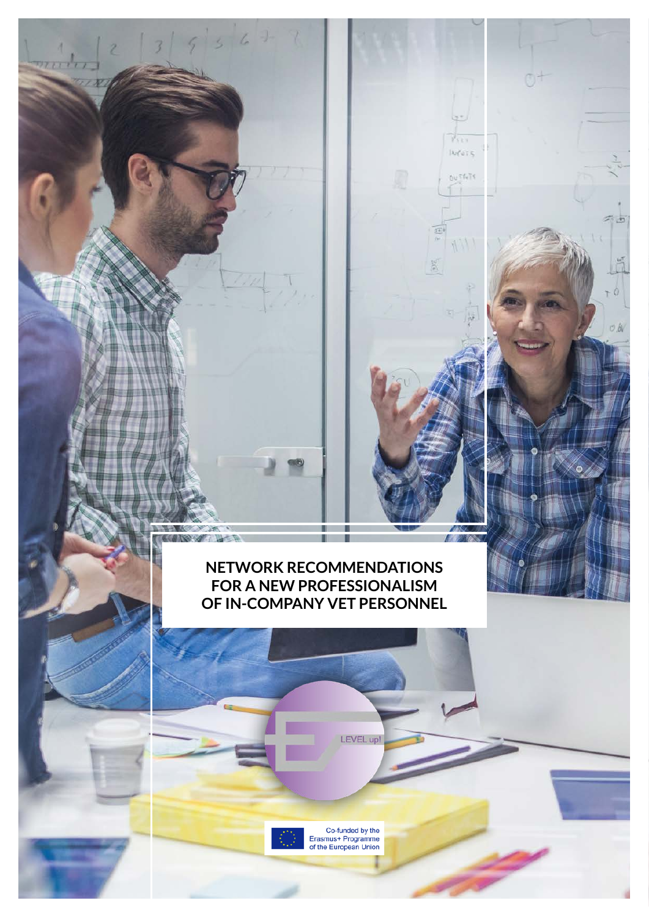# **NETWORK RECOMMENDATIONS FOR A NEW PROFESSIONALISM OF IN-COMPANY VET PERSONNEL**

П

П

LEVEL up!

be to  $y_{11}$  $106075$ 

 $0 \cup \mathbb{T} \mathbb{Q} \cap \mathbb{T}$ 

**Albert** 

m

 $46$ 

**INSY AND INSTALLATION** 

Co-funded by the<br>Erasmus+ Programme<br>of the European Union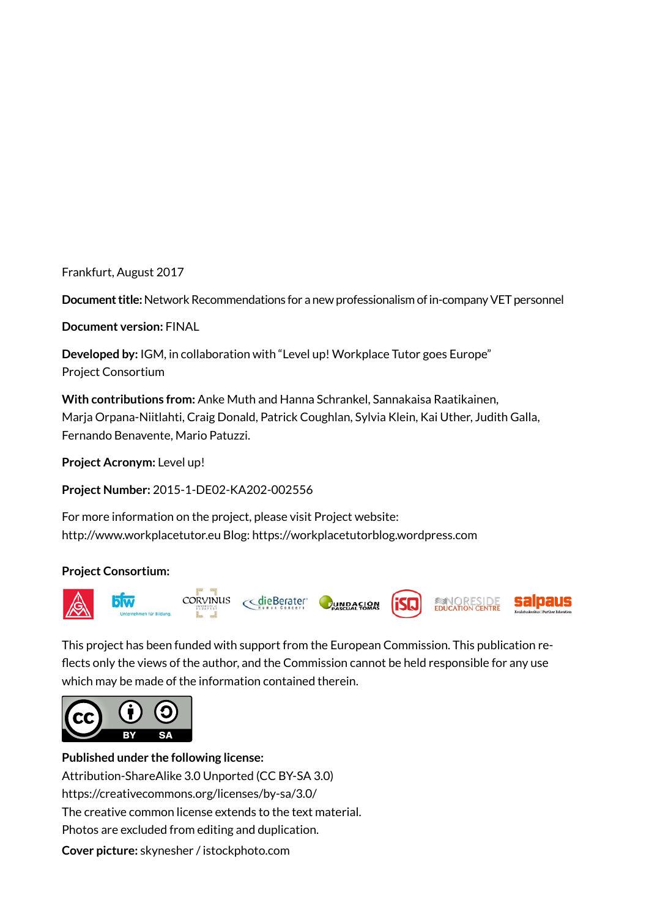Frankfurt, August 2017

**Document title:** Network Recommendations for a new professionalism of in-company VET personnel

**Document version:** FINAL

**Developed by:** IGM, in collaboration with "Level up! Workplace Tutor goes Europe" Project Consortium

**With contributions from:** Anke Muth and Hanna Schrankel, Sannakaisa Raatikainen, Marja Orpana-Niitlahti, Craig Donald, Patrick Coughlan, Sylvia Klein, Kai Uther, Judith Galla, Fernando Benavente, Mario Patuzzi.

**Project Acronym:** Level up!

**Project Number:** 2015-1-DE02-KA202-002556

For more information on the project, please visit Project website: http://www.workplacetutor.eu Blog: https://workplacetutorblog.wordpress.com

#### **Project Consortium:**



This project has been funded with support from the European Commission. This publication reflects only the views of the author, and the Commission cannot be held responsible for any use which may be made of the information contained therein.



**Published under the following license:** Attribution-ShareAlike 3.0 Unported (CC BY-SA 3.0) https://creativecommons.org/licenses/by-sa/3.0/ The creative common license extends to the text material. Photos are excluded from editing and duplication. **Cover picture:** skynesher / istockphoto.com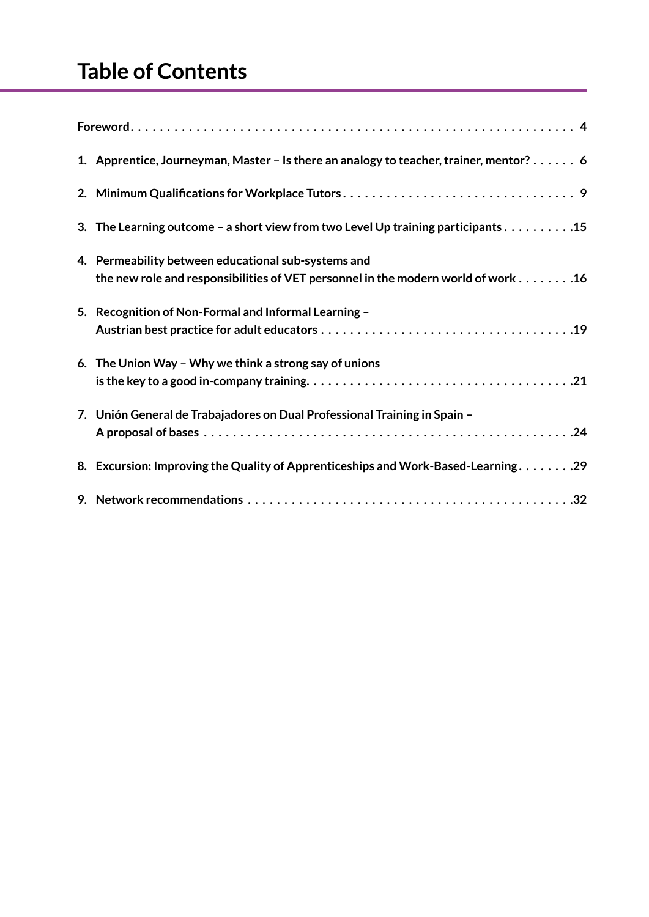| 1. Apprentice, Journeyman, Master - Is there an analogy to teacher, trainer, mentor? 6                                                                                                           |
|--------------------------------------------------------------------------------------------------------------------------------------------------------------------------------------------------|
|                                                                                                                                                                                                  |
| 3. The Learning outcome - a short view from two Level Up training participants 15                                                                                                                |
| 4. Permeability between educational sub-systems and<br>the new role and responsibilities of VET personnel in the modern world of work 16                                                         |
| 5. Recognition of Non-Formal and Informal Learning -                                                                                                                                             |
| 6. The Union Way - Why we think a strong say of unions<br>is the key to a good in-company training. $\ldots \ldots \ldots \ldots \ldots \ldots \ldots \ldots \ldots \ldots \ldots \ldots \ldots$ |
| 7. Unión General de Trabajadores on Dual Professional Training in Spain -                                                                                                                        |
| 8. Excursion: Improving the Quality of Apprenticeships and Work-Based-Learning29                                                                                                                 |
|                                                                                                                                                                                                  |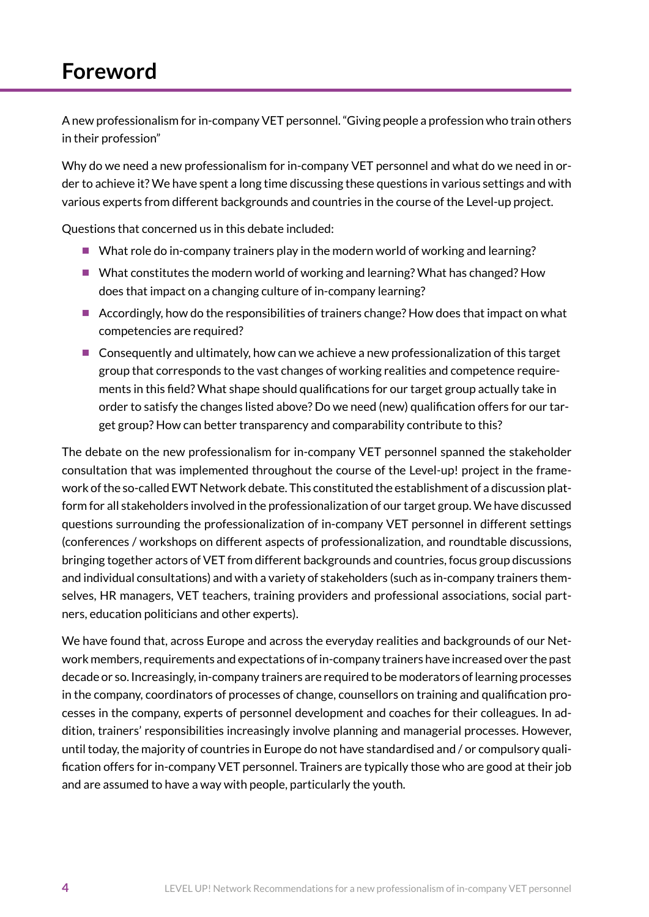# <span id="page-3-0"></span>**Foreword**

A new professionalism for in-company VET personnel. "Giving people a profession who train others in their profession"

Why do we need a new professionalism for in-company VET personnel and what do we need in order to achieve it? We have spent a long time discussing these questions in various settings and with various experts from different backgrounds and countries in the course of the Level-up project.

Questions that concerned us in this debate included:

- What role do in-company trainers play in the modern world of working and learning?
- What constitutes the modern world of working and learning? What has changed? How does that impact on a changing culture of in-company learning?
- $\blacksquare$  Accordingly, how do the responsibilities of trainers change? How does that impact on what competencies are required?
- Consequently and ultimately, how can we achieve a new professionalization of this target group that corresponds to the vast changes of working realities and competence requirements in this field? What shape should qualifications for our target group actually take in order to satisfy the changes listed above? Do we need (new) qualification offers for our target group? How can better transparency and comparability contribute to this?

The debate on the new professionalism for in-company VET personnel spanned the stakeholder consultation that was implemented throughout the course of the Level-up! project in the framework of the so-called EWT Network debate. This constituted the establishment of a discussion platform for all stakeholders involved in the professionalization of our target group. We have discussed questions surrounding the professionalization of in-company VET personnel in different settings (conferences / workshops on different aspects of professionalization, and roundtable discussions, bringing together actors of VET from different backgrounds and countries, focus group discussions and individual consultations) and with a variety of stakeholders (such as in-company trainers themselves, HR managers, VET teachers, training providers and professional associations, social partners, education politicians and other experts).

We have found that, across Europe and across the everyday realities and backgrounds of our Network members, requirements and expectations of in-company trainers have increased over the past decade or so. Increasingly, in-company trainers are required to be moderators of learning processes in the company, coordinators of processes of change, counsellors on training and qualification processes in the company, experts of personnel development and coaches for their colleagues. In addition, trainers' responsibilities increasingly involve planning and managerial processes. However, until today, the majority of countries in Europe do not have standardised and / or compulsory qualification offers for in-company VET personnel. Trainers are typically those who are good at their job and are assumed to have a way with people, particularly the youth.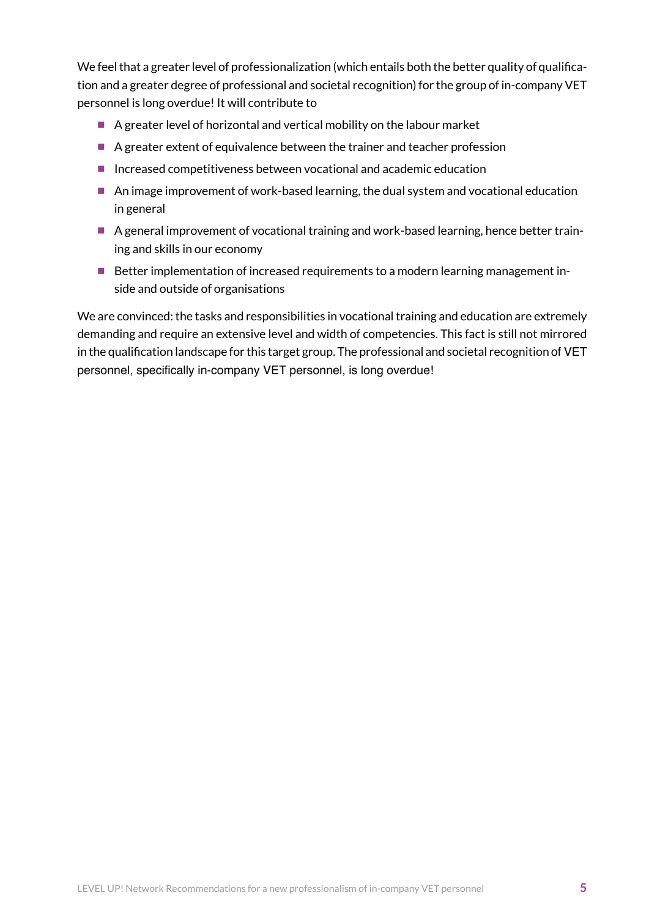We feel that a greater level of professionalization (which entails both the better quality of qualification and a greater degree of professional and societal recognition) for the group of in-company VET personnel is long overdue! It will contribute to

- $\blacksquare$  A greater level of horizontal and vertical mobility on the labour market
- A greater extent of equivalence between the trainer and teacher profession
- Increased competitiveness between vocational and academic education
- An image improvement of work-based learning, the dual system and vocational education in general
- A general improvement of vocational training and work-based learning, hence better training and skills in our economy
- Better implementation of increased requirements to a modern learning management inside and outside of organisations

We are convinced: the tasks and responsibilities in vocational training and education are extremely demanding and require an extensive level and width of competencies. This fact is still not mirrored in the qualification landscape for this target group. The professional and societal recognition of VET personnel, specifically in-company VET personnel, is long overdue!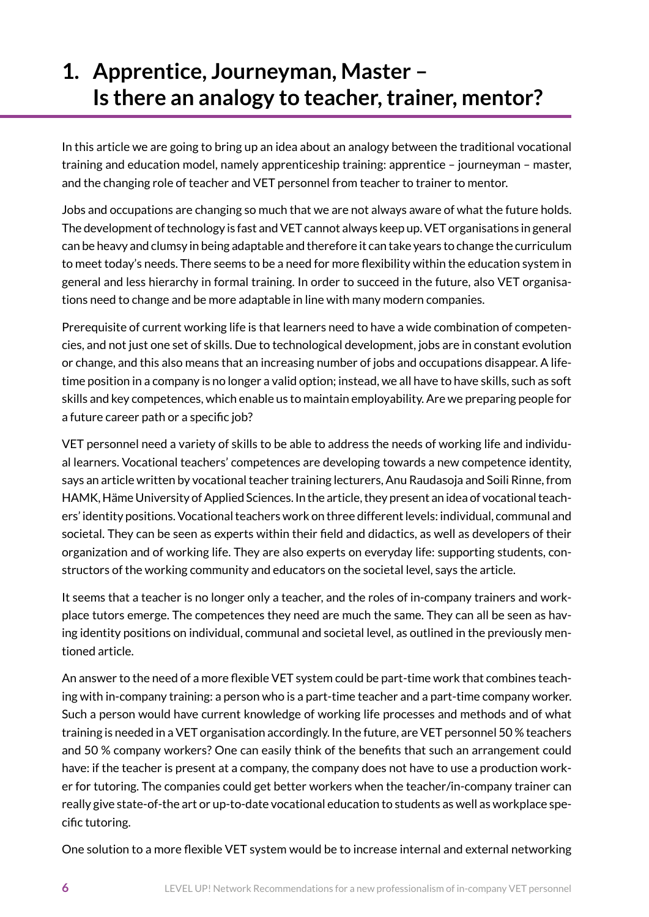# <span id="page-5-0"></span>**1. Apprentice, Journeyman, Master – Is there an analogy to teacher, trainer, mentor?**

In this article we are going to bring up an idea about an analogy between the traditional vocational training and education model, namely apprenticeship training: apprentice – journeyman – master, and the changing role of teacher and VET personnel from teacher to trainer to mentor.

Jobs and occupations are changing so much that we are not always aware of what the future holds. The development of technology is fast and VET cannot always keep up. VET organisations in general can be heavy and clumsy in being adaptable and therefore it can take years to change the curriculum to meet today's needs. There seems to be a need for more flexibility within the education system in general and less hierarchy in formal training. In order to succeed in the future, also VET organisations need to change and be more adaptable in line with many modern companies.

Prerequisite of current working life is that learners need to have a wide combination of competencies, and not just one set of skills. Due to technological development, jobs are in constant evolution or change, and this also means that an increasing number of jobs and occupations disappear. A lifetime position in a company is no longer a valid option; instead, we all have to have skills, such as soft skills and key competences, which enable us to maintain employability. Are we preparing people for a future career path or a specific job?

VET personnel need a variety of skills to be able to address the needs of working life and individual learners. Vocational teachers' competences are developing towards a new competence identity, says an article written by vocational teacher training lecturers, Anu Raudasoja and Soili Rinne, from HAMK, Häme University of Applied Sciences. In the article, they present an idea of vocational teachers' identity positions. Vocational teachers work on three different levels: individual, communal and societal. They can be seen as experts within their field and didactics, as well as developers of their organization and of working life. They are also experts on everyday life: supporting students, constructors of the working community and educators on the societal level, says the article.

It seems that a teacher is no longer only a teacher, and the roles of in-company trainers and workplace tutors emerge. The competences they need are much the same. They can all be seen as having identity positions on individual, communal and societal level, as outlined in the previously mentioned article.

An answer to the need of a more flexible VET system could be part-time work that combines teaching with in-company training: a person who is a part-time teacher and a part-time company worker. Such a person would have current knowledge of working life processes and methods and of what training is needed in a VET organisation accordingly. In the future, are VET personnel 50 % teachers and 50 % company workers? One can easily think of the benefits that such an arrangement could have: if the teacher is present at a company, the company does not have to use a production worker for tutoring. The companies could get better workers when the teacher/in-company trainer can really give state-of-the art or up-to-date vocational education to students as well as workplace specific tutoring.

One solution to a more flexible VET system would be to increase internal and external networking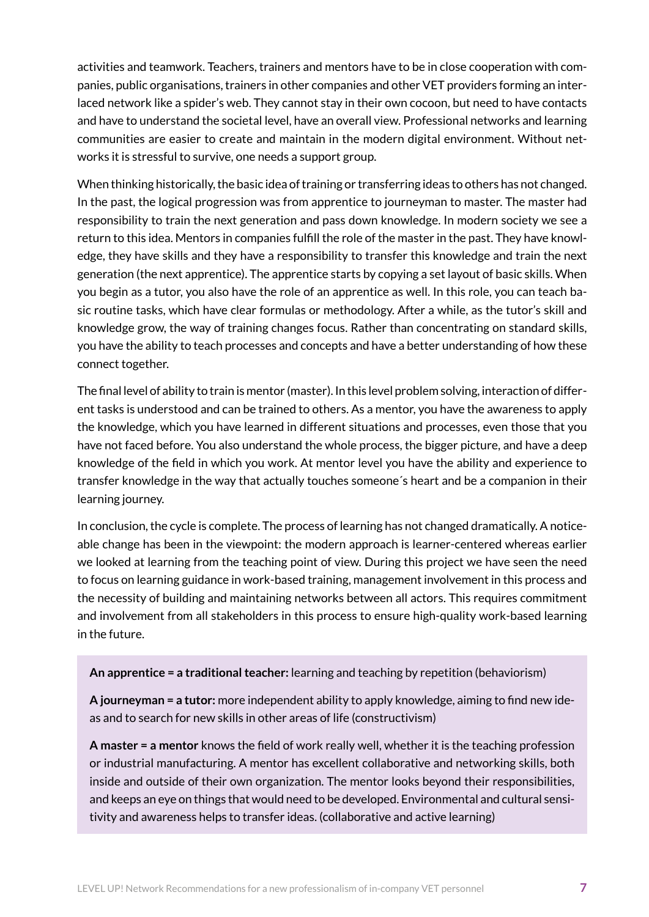activities and teamwork. Teachers, trainers and mentors have to be in close cooperation with companies, public organisations, trainers in other companies and other VET providers forming an interlaced network like a spider's web. They cannot stay in their own cocoon, but need to have contacts and have to understand the societal level, have an overall view. Professional networks and learning communities are easier to create and maintain in the modern digital environment. Without networks it is stressful to survive, one needs a support group.

When thinking historically, the basic idea of training or transferring ideas to others has not changed. In the past, the logical progression was from apprentice to journeyman to master. The master had responsibility to train the next generation and pass down knowledge. In modern society we see a return to this idea. Mentors in companies fulfill the role of the master in the past. They have knowledge, they have skills and they have a responsibility to transfer this knowledge and train the next generation (the next apprentice). The apprentice starts by copying a set layout of basic skills. When you begin as a tutor, you also have the role of an apprentice as well. In this role, you can teach basic routine tasks, which have clear formulas or methodology. After a while, as the tutor's skill and knowledge grow, the way of training changes focus. Rather than concentrating on standard skills, you have the ability to teach processes and concepts and have a better understanding of how these connect together.

The final level of ability to train is mentor (master). In this level problem solving, interaction of different tasks is understood and can be trained to others. As a mentor, you have the awareness to apply the knowledge, which you have learned in different situations and processes, even those that you have not faced before. You also understand the whole process, the bigger picture, and have a deep knowledge of the field in which you work. At mentor level you have the ability and experience to transfer knowledge in the way that actually touches someone´s heart and be a companion in their learning journey.

In conclusion, the cycle is complete. The process of learning has not changed dramatically. A noticeable change has been in the viewpoint: the modern approach is learner-centered whereas earlier we looked at learning from the teaching point of view. During this project we have seen the need to focus on learning guidance in work-based training, management involvement in this process and the necessity of building and maintaining networks between all actors. This requires commitment and involvement from all stakeholders in this process to ensure high-quality work-based learning in the future.

**An apprentice = a traditional teacher:** learning and teaching by repetition (behaviorism)

**A journeyman = a tutor:** more independent ability to apply knowledge, aiming to find new ideas and to search for new skills in other areas of life (constructivism)

**A master = a mentor** knows the field of work really well, whether it is the teaching profession or industrial manufacturing. A mentor has excellent collaborative and networking skills, both inside and outside of their own organization. The mentor looks beyond their responsibilities, and keeps an eye on things that would need to be developed. Environmental and cultural sensitivity and awareness helps to transfer ideas. (collaborative and active learning)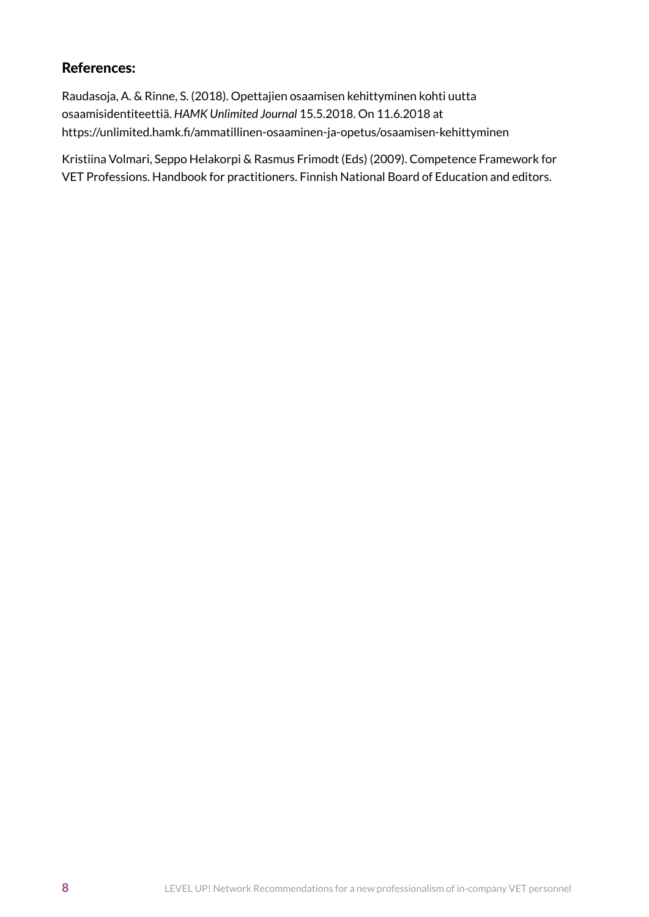### References:

Raudasoja, A. & Rinne, S. (2018). Opettajien osaamisen kehittyminen kohti uutta osaamisidentiteettiä. *HAMK Unlimited Journal* 15.5.2018. On 11.6.2018 at https://unlimited.hamk.fi/ammatillinen-osaaminen-ja-opetus/osaamisen-kehittyminen

Kristiina Volmari, Seppo Helakorpi & Rasmus Frimodt (Eds) (2009). Competence Framework for VET Professions. Handbook for practitioners. Finnish National Board of Education and editors.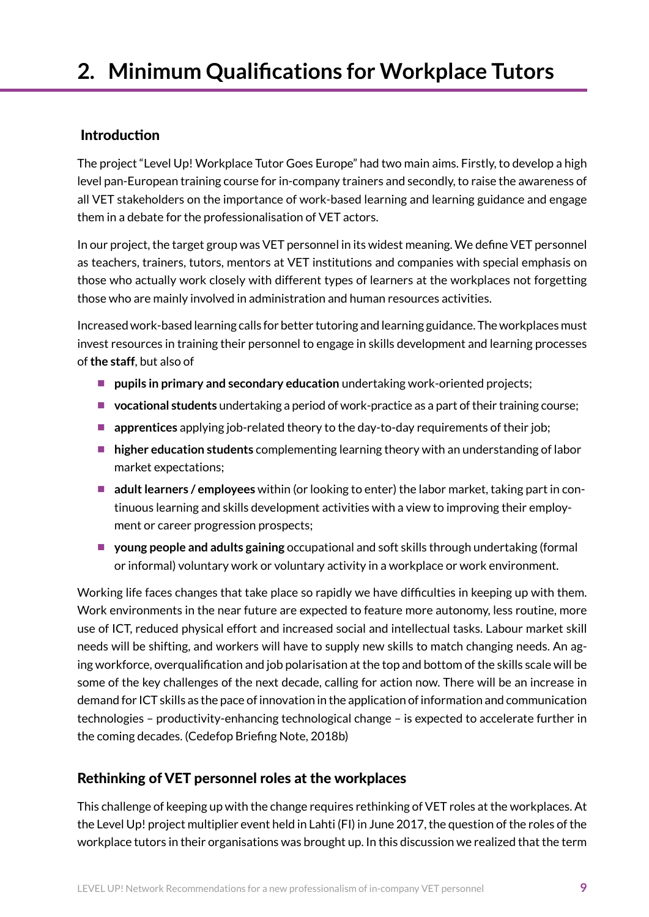# <span id="page-8-0"></span>**2. Minimum Qualifications for Workplace Tutors**

### Introduction

The project "Level Up! Workplace Tutor Goes Europe" had two main aims. Firstly, to develop a high level pan-European training course for in-company trainers and secondly, to raise the awareness of all VET stakeholders on the importance of work-based learning and learning guidance and engage them in a debate for the professionalisation of VET actors.

In our project, the target group was VET personnel in its widest meaning. We define VET personnel as teachers, trainers, tutors, mentors at VET institutions and companies with special emphasis on those who actually work closely with different types of learners at the workplaces not forgetting those who are mainly involved in administration and human resources activities.

Increased work-based learning calls for better tutoring and learning guidance. The workplaces must invest resources in training their personnel to engage in skills development and learning processes of **the staff**, but also of

- **pupils in primary and secondary education** undertaking work-oriented projects;
- **vocational students** undertaking a period of work-practice as a part of their training course;
- **a** apprentices applying job-related theory to the day-to-day requirements of their job;
- **higher education students** complementing learning theory with an understanding of labor market expectations;
- **adult learners / employees** within (or looking to enter) the labor market, taking part in continuous learning and skills development activities with a view to improving their employment or career progression prospects;
- **young people and adults gaining** occupational and soft skills through undertaking (formal or informal) voluntary work or voluntary activity in a workplace or work environment.

Working life faces changes that take place so rapidly we have difficulties in keeping up with them. Work environments in the near future are expected to feature more autonomy, less routine, more use of ICT, reduced physical effort and increased social and intellectual tasks. Labour market skill needs will be shifting, and workers will have to supply new skills to match changing needs. An aging workforce, overqualification and job polarisation at the top and bottom of the skills scale will be some of the key challenges of the next decade, calling for action now. There will be an increase in demand for ICT skills as the pace of innovation in the application of information and communication technologies – productivity-enhancing technological change – is expected to accelerate further in the coming decades. (Cedefop Briefing Note, 2018b)

## Rethinking of VET personnel roles at the workplaces

This challenge of keeping up with the change requires rethinking of VET roles at the workplaces. At the Level Up! project multiplier event held in Lahti (FI) in June 2017, the question of the roles of the workplace tutors in their organisations was brought up. In this discussion we realized that the term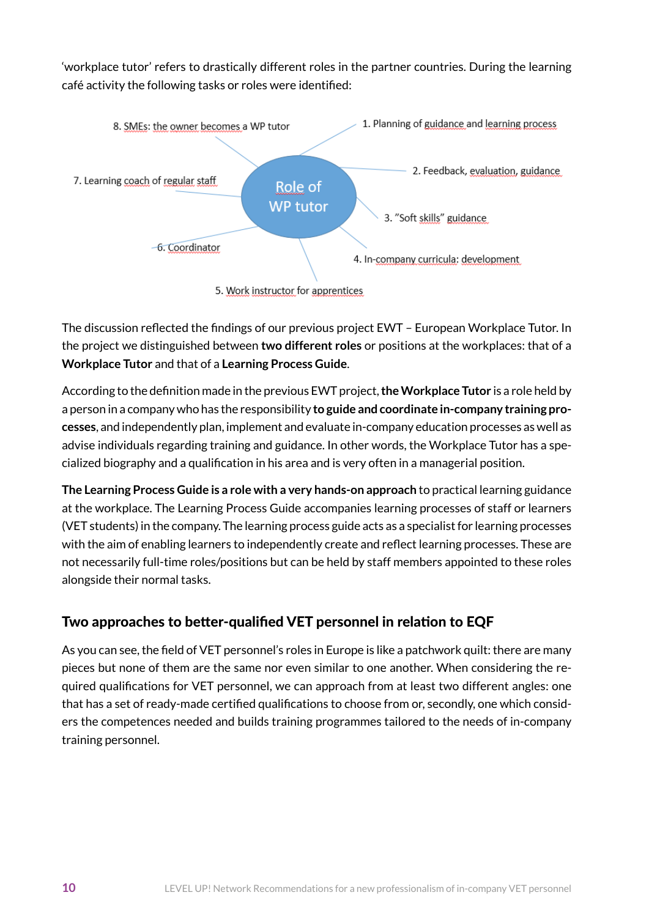'workplace tutor' refers to drastically different roles in the partner countries. During the learning café activity the following tasks or roles were identified:



The discussion reflected the findings of our previous project EWT – European Workplace Tutor. In the project we distinguished between **two different roles** or positions at the workplaces: that of a **Workplace Tutor** and that of a **Learning Process Guide**.

According to the definition made in the previous EWT project, **theWorkplace Tutor** is a role held by a person in a company who has the responsibility **to guide and coordinate in-company training processes**, and independently plan, implement and evaluate in-company education processes as well as advise individuals regarding training and guidance. In other words, the Workplace Tutor has a specialized biography and a qualification in his area and is very often in a managerial position.

**The Learning Process Guide is a role with a very hands-on approach** to practical learning guidance at the workplace. The Learning Process Guide accompanies learning processes of staff or learners (VET students) in the company. The learning process guide acts as a specialist for learning processes with the aim of enabling learners to independently create and reflect learning processes. These are not necessarily full-time roles/positions but can be held by staff members appointed to these roles alongside their normal tasks.

## Two approaches to better-qualified VET personnel in relation to EQF

As you can see, the field of VET personnel's roles in Europe is like a patchwork quilt: there are many pieces but none of them are the same nor even similar to one another. When considering the required qualifications for VET personnel, we can approach from at least two different angles: one that has a set of ready-made certified qualifications to choose from or, secondly, one which considers the competences needed and builds training programmes tailored to the needs of in-company training personnel.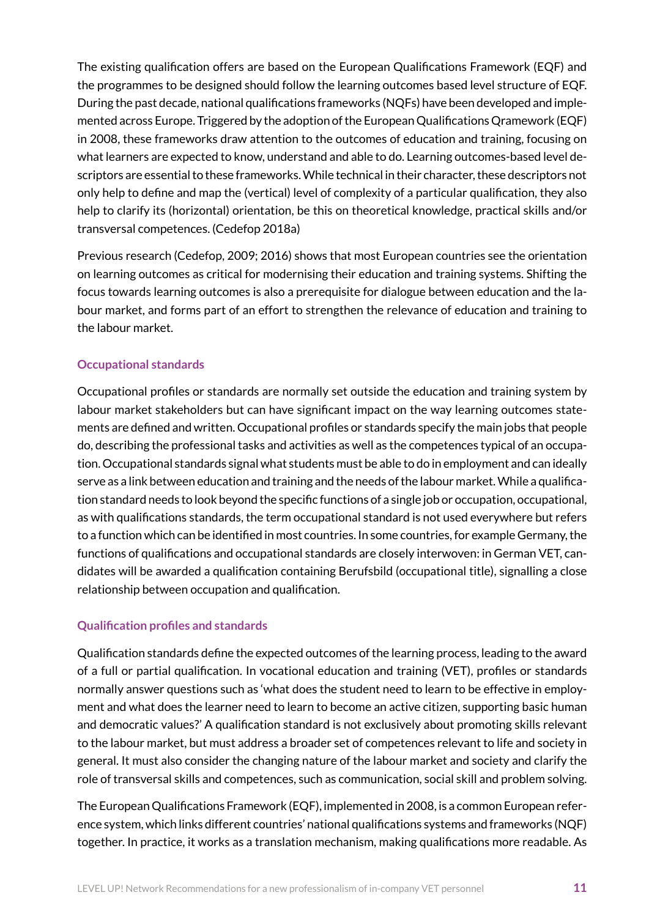The existing qualification offers are based on the European Qualifications Framework (EQF) and the programmes to be designed should follow the learning outcomes based level structure of EQF. During the past decade, national qualifications frameworks (NQFs) have been developed and implemented across Europe. Triggered by the adoption of the European Qualifications Qramework (EQF) in 2008, these frameworks draw attention to the outcomes of education and training, focusing on what learners are expected to know, understand and able to do. Learning outcomes-based level descriptors are essential to these frameworks. While technical in their character, these descriptors not only help to define and map the (vertical) level of complexity of a particular qualification, they also help to clarify its (horizontal) orientation, be this on theoretical knowledge, practical skills and/or transversal competences. (Cedefop 2018a)

Previous research (Cedefop, 2009; 2016) shows that most European countries see the orientation on learning outcomes as critical for modernising their education and training systems. Shifting the focus towards learning outcomes is also a prerequisite for dialogue between education and the labour market, and forms part of an effort to strengthen the relevance of education and training to the labour market.

#### **Occupational standards**

Occupational profiles or standards are normally set outside the education and training system by labour market stakeholders but can have significant impact on the way learning outcomes statements are defined and written. Occupational profiles or standards specify the main jobs that people do, describing the professional tasks and activities as well as the competences typical of an occupation. Occupational standards signal what students must be able to do in employment and can ideally serve as a link between education and training and the needs of the labour market. While a qualification standard needs to look beyond the specific functions of a single job or occupation, occupational, as with qualifications standards, the term occupational standard is not used everywhere but refers to a function which can be identified in most countries. In some countries, for example Germany, the functions of qualifications and occupational standards are closely interwoven: in German VET, candidates will be awarded a qualification containing Berufsbild (occupational title), signalling a close relationship between occupation and qualification.

### **Qualification profiles and standards**

Qualification standards define the expected outcomes of the learning process, leading to the award of a full or partial qualification. In vocational education and training (VET), profiles or standards normally answer questions such as 'what does the student need to learn to be effective in employment and what does the learner need to learn to become an active citizen, supporting basic human and democratic values?' A qualification standard is not exclusively about promoting skills relevant to the labour market, but must address a broader set of competences relevant to life and society in general. It must also consider the changing nature of the labour market and society and clarify the role of transversal skills and competences, such as communication, social skill and problem solving.

The European Qualifications Framework (EQF), implemented in 2008, is a common European reference system, which links different countries' national qualifications systems and frameworks (NQF) together. In practice, it works as a translation mechanism, making qualifications more readable. As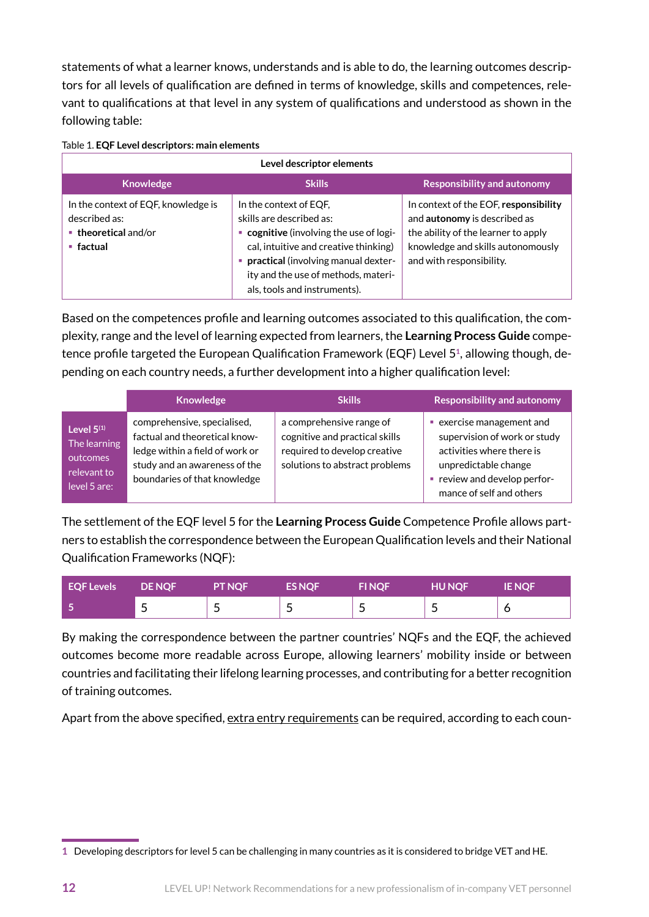statements of what a learner knows, understands and is able to do, the learning outcomes descriptors for all levels of qualification are defined in terms of knowledge, skills and competences, relevant to qualifications at that level in any system of qualifications and understood as shown in the following table:

Table 1. **EQF Level descriptors: main elements**

| Level descriptor elements                                                                                           |                                                                                                                                                                                                                                                      |                                                                                                                                                                               |  |  |  |  |
|---------------------------------------------------------------------------------------------------------------------|------------------------------------------------------------------------------------------------------------------------------------------------------------------------------------------------------------------------------------------------------|-------------------------------------------------------------------------------------------------------------------------------------------------------------------------------|--|--|--|--|
| <b>Knowledge</b>                                                                                                    | <b>Skills</b>                                                                                                                                                                                                                                        | <b>Responsibility and autonomy</b>                                                                                                                                            |  |  |  |  |
| In the context of EQF, knowledge is<br>described as:<br>$\blacksquare$ theoretical and/or<br>$\blacksquare$ factual | In the context of EQF.<br>skills are described as:<br>• cognitive (involving the use of logi-<br>cal, intuitive and creative thinking)<br>practical (involving manual dexter-<br>ity and the use of methods, materi-<br>als, tools and instruments). | In context of the EOF, responsibility<br>and autonomy is described as<br>the ability of the learner to apply<br>knowledge and skills autonomously<br>and with responsibility. |  |  |  |  |

Based on the competences profile and learning outcomes associated to this qualification, the complexity, range and the level of learning expected from learners, the **Learning Process Guide** competence profile targeted the European Qualification Framework (EQF) Level 5**1**, allowing though, depending on each country needs, a further development into a higher qualification level:

|                                                                         | <b>Knowledge</b>                                                                                                                                                 | <b>Skills</b>                                                                                                                | <b>Responsibility and autonomy</b>                                                                                                                                     |
|-------------------------------------------------------------------------|------------------------------------------------------------------------------------------------------------------------------------------------------------------|------------------------------------------------------------------------------------------------------------------------------|------------------------------------------------------------------------------------------------------------------------------------------------------------------------|
| Level $5(1)$<br>The learning<br>outcomes<br>relevant to<br>level 5 are: | comprehensive, specialised,<br>factual and theoretical know-<br>ledge within a field of work or<br>study and an awareness of the<br>boundaries of that knowledge | a comprehensive range of<br>cognitive and practical skills<br>required to develop creative<br>solutions to abstract problems | exercise management and<br>supervision of work or study<br>activities where there is<br>unpredictable change<br>review and develop perfor-<br>mance of self and others |

The settlement of the EQF level 5 for the **Learning Process Guide** Competence Profile allows partners to establish the correspondence between the European Qualification levels and their National Qualification Frameworks (NQF):

| EQF Levels | <b>DE NOF</b> | <b>PT NOF</b> | <b>ES NOF</b>            | <b>FINQF</b>          | <b>HU NQF</b> | <b>IE NOF</b> |
|------------|---------------|---------------|--------------------------|-----------------------|---------------|---------------|
|            | ۔             | -             | $\overline{\phantom{0}}$ | $\tilde{\phantom{a}}$ | -             |               |

By making the correspondence between the partner countries' NQFs and the EQF, the achieved outcomes become more readable across Europe, allowing learners' mobility inside or between countries and facilitating their lifelong learning processes, and contributing for a better recognition of training outcomes.

Apart from the above specified, extra entry requirements can be required, according to each coun-

**<sup>1</sup>** Developing descriptors for level 5 can be challenging in many countries as it is considered to bridge VET and HE.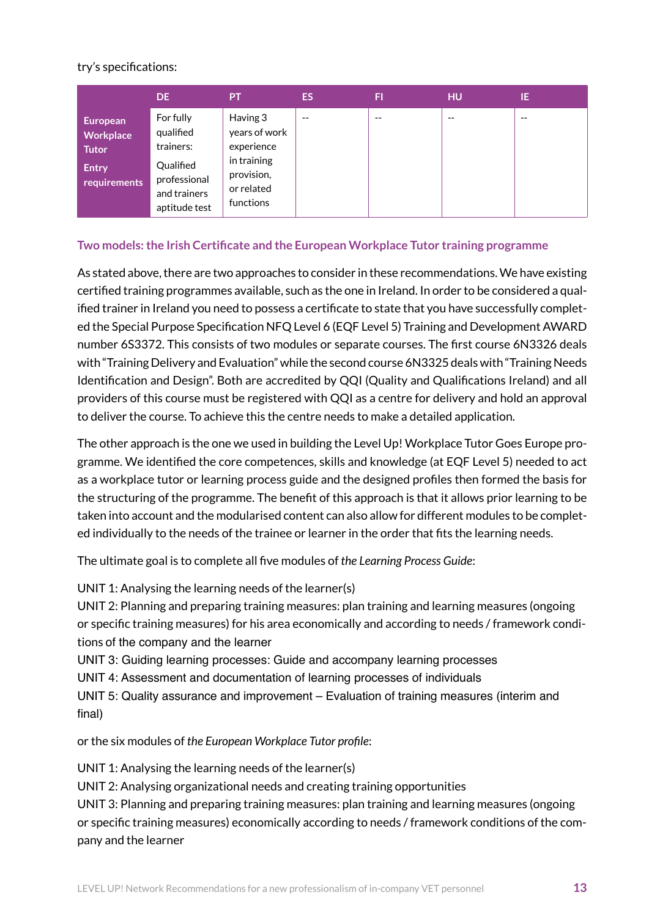#### try's specifications:

|                                                                       | DE.                                                                                               | <b>PT</b>                                                                                       | ES.   | FI    | <b>HU</b> | IE.   |
|-----------------------------------------------------------------------|---------------------------------------------------------------------------------------------------|-------------------------------------------------------------------------------------------------|-------|-------|-----------|-------|
| <b>European</b><br>Workplace<br>Tutor<br><b>Entry</b><br>requirements | For fully<br>qualified<br>trainers:<br>Qualified<br>professional<br>and trainers<br>aptitude test | Having 3<br>years of work<br>experience<br>in training<br>provision,<br>or related<br>functions | $- -$ | $- -$ | --        | $- -$ |

#### **Two models:the Irish Certificate and the European Workplace Tutor training programme**

As stated above, there are two approaches to consider in these recommendations. We have existing certified training programmes available, such as the one in Ireland. In order to be considered a qualified trainer in Ireland you need to possess a certificate to state that you have successfully completed the Special Purpose Specification NFQ Level 6 (EQF Level 5) Training and Development AWARD number 6S3372. This consists of two modules or separate courses. The first course 6N3326 deals with "Training Delivery and Evaluation" while the second course 6N3325 deals with "Training Needs Identification and Design". Both are accredited by QQI (Quality and Qualifications Ireland) and all providers of this course must be registered with QQI as a centre for delivery and hold an approval to deliver the course. To achieve this the centre needs to make a detailed application.

The other approach is the one we used in building the Level Up! Workplace Tutor Goes Europe programme. We identified the core competences, skills and knowledge (at EQF Level 5) needed to act as a workplace tutor or learning process guide and the designed profiles then formed the basis for the structuring of the programme. The benefit of this approach is that it allows prior learning to be taken into account and the modularised content can also allow for different modules to be completed individually to the needs of the trainee or learner in the order that fits the learning needs.

The ultimate goal is to complete all five modules of *the Learning Process Guide*:

UNIT 1: Analysing the learning needs of the learner(s)

UNIT 2: Planning and preparing training measures: plan training and learning measures (ongoing or specific training measures) for his area economically and according to needs / framework conditions of the company and the learner

UNIT 3: Guiding learning processes: Guide and accompany learning processes

UNIT 4: Assessment and documentation of learning processes of individuals

UNIT 5: Quality assurance and improvement – Evaluation of training measures (interim and final)

or the six modules of *the European Workplace Tutor profile*:

UNIT 1: Analysing the learning needs of the learner(s)

UNIT 2: Analysing organizational needs and creating training opportunities

UNIT 3: Planning and preparing training measures: plan training and learning measures (ongoing or specific training measures) economically according to needs / framework conditions of the company and the learner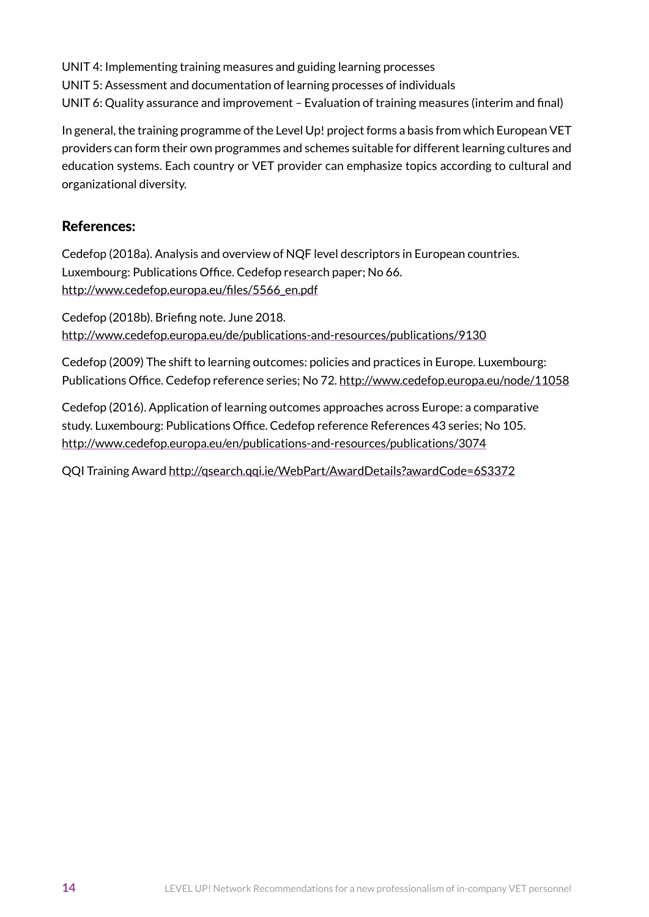UNIT 4: Implementing training measures and guiding learning processes

UNIT 5: Assessment and documentation of learning processes of individuals

UNIT 6: Quality assurance and improvement – Evaluation of training measures (interim and final)

In general, the training programme of the Level Up! project forms a basis from which European VET providers can form their own programmes and schemes suitable for different learning cultures and education systems. Each country or VET provider can emphasize topics according to cultural and organizational diversity.

### References:

Cedefop (2018a). Analysis and overview of NQF level descriptors in European countries. Luxembourg: Publications Office. Cedefop research paper; No 66. [http://www.cedefop.europa.eu/files/5566\\_en.pdf](http://www.cedefop.europa.eu/files/5566_en.pdf)

Cedefop (2018b). Briefing note. June 2018. <http://www.cedefop.europa.eu/de/publications-and-resources/publications/9130>

Cedefop (2009) The shift to learning outcomes: policies and practices in Europe. Luxembourg: Publications Office. Cedefop reference series; No 72. <http://www.cedefop.europa.eu/node/11058>

Cedefop (2016). Application of learning outcomes approaches across Europe: a comparative study. Luxembourg: Publications Office. Cedefop reference References 43 series; No 105. <http://www.cedefop.europa.eu/en/publications-and-resources/publications/3074>

QQI Training Award <http://qsearch.qqi.ie/WebPart/AwardDetails?awardCode=6S3372>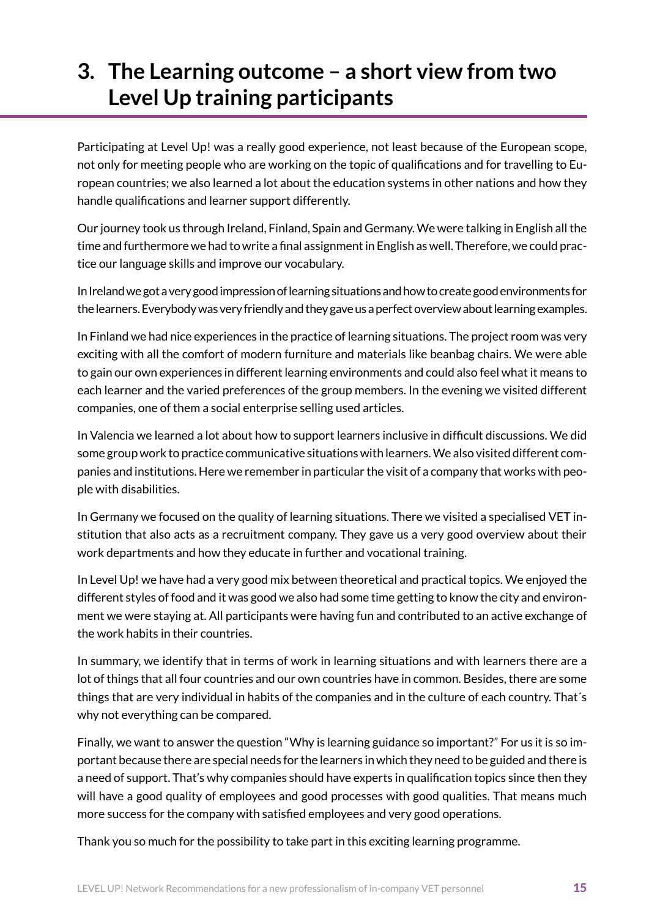# <span id="page-14-0"></span>**3. The Learning outcome – a short view from two Level Up training participants**

Participating at Level Up! was a really good experience, not least because of the European scope, not only for meeting people who are working on the topic of qualifications and for travelling to European countries; we also learned a lot about the education systems in other nations and how they handle qualifications and learner support differently.

Our journey took us through Ireland, Finland, Spain and Germany. We were talking in English all the time and furthermore we had to write a final assignment in English as well. Therefore, we could practice our language skills and improve our vocabulary.

In Ireland we got a very good impression of learning situations and how to create good environments for the learners. Everybody was very friendly and they gave us a perfect overview about learning examples.

In Finland we had nice experiences in the practice of learning situations. The project room was very exciting with all the comfort of modern furniture and materials like beanbag chairs. We were able to gain our own experiences in different learning environments and could also feel what it means to each learner and the varied preferences of the group members. In the evening we visited different companies, one of them a social enterprise selling used articles.

In Valencia we learned a lot about how to support learners inclusive in difficult discussions. We did some group work to practice communicative situations with learners. We also visited different companies and institutions. Here we remember in particular the visit of a company that works with people with disabilities.

In Germany we focused on the quality of learning situations. There we visited a specialised VET institution that also acts as a recruitment company. They gave us a very good overview about their work departments and how they educate in further and vocational training.

In Level Up! we have had a very good mix between theoretical and practical topics. We enjoyed the different styles of food and it was good we also had some time getting to know the city and environment we were staying at. All participants were having fun and contributed to an active exchange of the work habits in their countries.

In summary, we identify that in terms of work in learning situations and with learners there are a lot of things that all four countries and our own countries have in common. Besides, there are some things that are very individual in habits of the companies and in the culture of each country. That´s why not everything can be compared.

Finally, we want to answer the question "Why is learning guidance so important?" For us it is so important because there are special needs for the learners in which they need to be guided and there is a need of support. That's why companies should have experts in qualification topics since then they will have a good quality of employees and good processes with good qualities. That means much more success for the company with satisfied employees and very good operations.

Thank you so much for the possibility to take part in this exciting learning programme.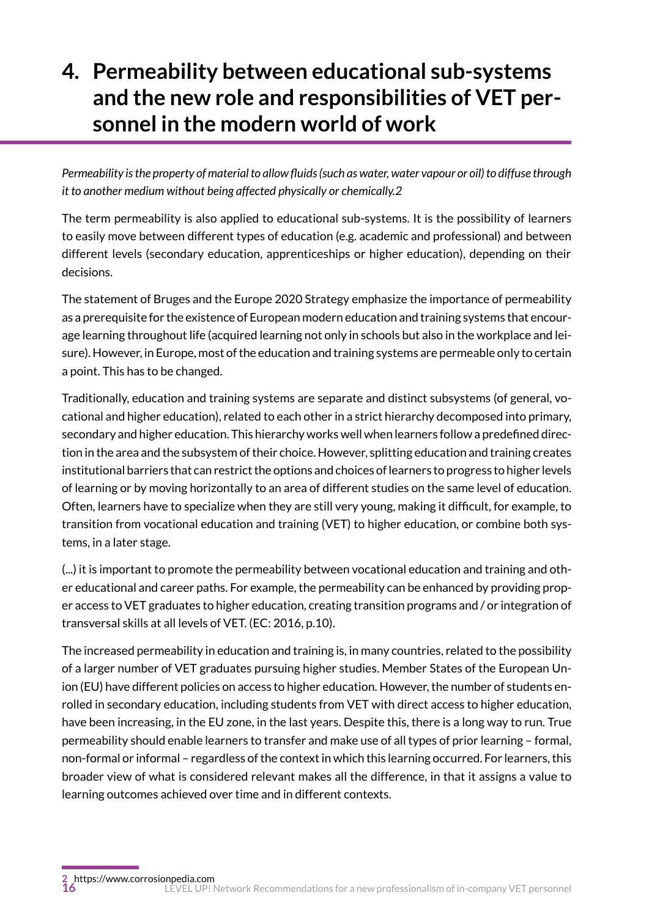# <span id="page-15-0"></span>**4. Permeability between educational sub-systems and the new role and responsibilities of VET personnel in the modern world of work**

*Permeability is the property of material to allow fluids (such as water, water vapour or oil) to diffuse through it to another medium without being affected physically or chemically.2*

The term permeability is also applied to educational sub-systems. It is the possibility of learners to easily move between different types of education (e.g. academic and professional) and between different levels (secondary education, apprenticeships or higher education), depending on their decisions.

The statement of Bruges and the Europe 2020 Strategy emphasize the importance of permeability as a prerequisite for the existence of European modern education and training systems that encourage learning throughout life (acquired learning not only in schools but also in the workplace and leisure). However, in Europe, most of the education and training systems are permeable only to certain a point. This has to be changed.

Traditionally, education and training systems are separate and distinct subsystems (of general, vocational and higher education), related to each other in a strict hierarchy decomposed into primary, secondary and higher education. This hierarchy works well when learners follow a predefined direction in the area and the subsystem of their choice. However, splitting education and training creates institutional barriers that can restrict the options and choices of learners to progress to higher levels of learning or by moving horizontally to an area of different studies on the same level of education. Often, learners have to specialize when they are still very young, making it difficult, for example, to transition from vocational education and training (VET) to higher education, or combine both systems, in a later stage.

(...) it is important to promote the permeability between vocational education and training and other educational and career paths. For example, the permeability can be enhanced by providing proper access to VET graduates to higher education, creating transition programs and / or integration of transversal skills at all levels of VET. (EC: 2016, p.10).

The increased permeability in education and training is, in many countries, related to the possibility of a larger number of VET graduates pursuing higher studies. Member States of the European Union (EU) have different policies on access to higher education. However, the number of students enrolled in secondary education, including students from VET with direct access to higher education, have been increasing, in the EU zone, in the last years. Despite this, there is a long way to run. True permeability should enable learners to transfer and make use of all types of prior learning – formal, non-formal or informal – regardless of the context in which this learning occurred. For learners, this broader view of what is considered relevant makes all the difference, in that it assigns a value to learning outcomes achieved over time and in different contexts.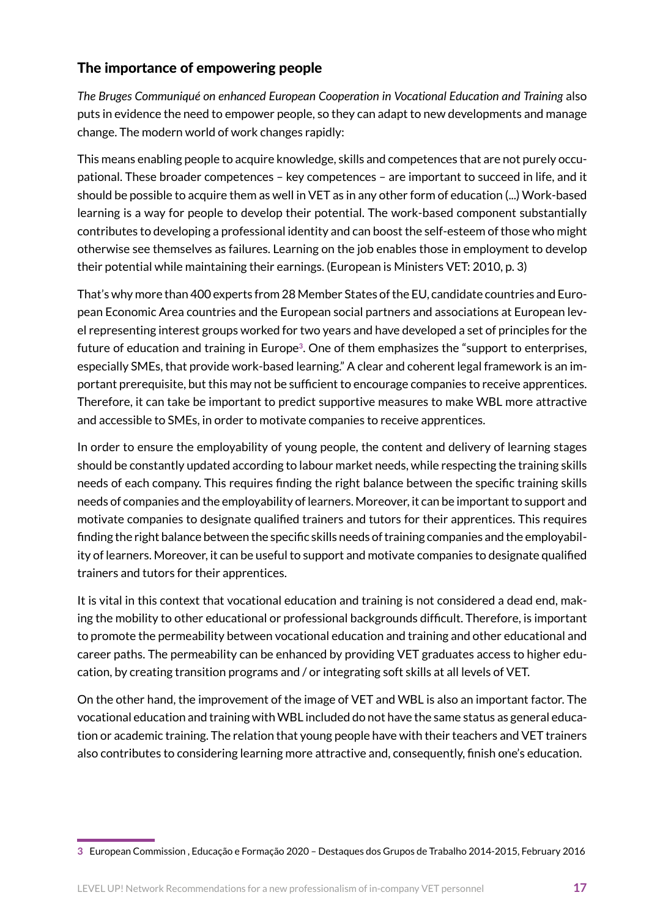## The importance of empowering people

*The Bruges Communiqué on enhanced European Cooperation in Vocational Education and Training* also puts in evidence the need to empower people, so they can adapt to new developments and manage change. The modern world of work changes rapidly:

This means enabling people to acquire knowledge, skills and competences that are not purely occupational. These broader competences – key competences – are important to succeed in life, and it should be possible to acquire them as well in VET as in any other form of education (...) Work-based learning is a way for people to develop their potential. The work-based component substantially contributes to developing a professional identity and can boost the self-esteem of those who might otherwise see themselves as failures. Learning on the job enables those in employment to develop their potential while maintaining their earnings. (European is Ministers VET: 2010, p. 3)

That's why more than 400 experts from 28 Member States of the EU, candidate countries and European Economic Area countries and the European social partners and associations at European level representing interest groups worked for two years and have developed a set of principles for the future of education and training in Europe**3**. One of them emphasizes the "support to enterprises, especially SMEs, that provide work-based learning." A clear and coherent legal framework is an important prerequisite, but this may not be sufficient to encourage companies to receive apprentices. Therefore, it can take be important to predict supportive measures to make WBL more attractive and accessible to SMEs, in order to motivate companies to receive apprentices.

In order to ensure the employability of young people, the content and delivery of learning stages should be constantly updated according to labour market needs, while respecting the training skills needs of each company. This requires finding the right balance between the specific training skills needs of companies and the employability of learners. Moreover, it can be important to support and motivate companies to designate qualified trainers and tutors for their apprentices. This requires finding the right balance between the specific skills needs of training companies and the employability of learners. Moreover, it can be useful to support and motivate companies to designate qualified trainers and tutors for their apprentices.

It is vital in this context that vocational education and training is not considered a dead end, making the mobility to other educational or professional backgrounds difficult. Therefore, is important to promote the permeability between vocational education and training and other educational and career paths. The permeability can be enhanced by providing VET graduates access to higher education, by creating transition programs and / or integrating soft skills at all levels of VET.

On the other hand, the improvement of the image of VET and WBL is also an important factor. The vocational education and training with WBL included do not have the same status as general education or academic training. The relation that young people have with their teachers and VET trainers also contributes to considering learning more attractive and, consequently, finish one's education.

**<sup>3</sup>** European Commission , Educação e Formação 2020 – Destaques dos Grupos de Trabalho 2014-2015, February 2016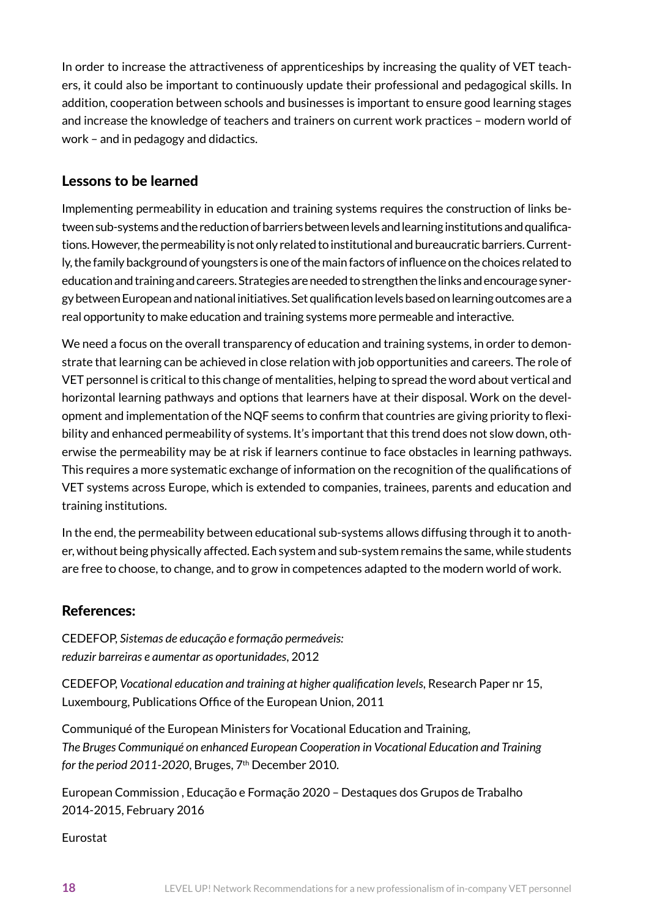In order to increase the attractiveness of apprenticeships by increasing the quality of VET teachers, it could also be important to continuously update their professional and pedagogical skills. In addition, cooperation between schools and businesses is important to ensure good learning stages and increase the knowledge of teachers and trainers on current work practices – modern world of work – and in pedagogy and didactics.

## Lessons to be learned

Implementing permeability in education and training systems requires the construction of links between sub-systems and the reduction of barriers between levels and learning institutions and qualifications. However, the permeability is not only related to institutional and bureaucratic barriers. Currently, the family background of youngsters is one of the main factors of influence on the choices related to education and training and careers. Strategies are needed to strengthen the links and encourage synergy between European and national initiatives. Set qualification levels based on learning outcomes are a real opportunity to make education and training systems more permeable and interactive.

We need a focus on the overall transparency of education and training systems, in order to demonstrate that learning can be achieved in close relation with job opportunities and careers. The role of VET personnel is critical to this change of mentalities, helping to spread the word about vertical and horizontal learning pathways and options that learners have at their disposal. Work on the development and implementation of the NQF seems to confirm that countries are giving priority to flexibility and enhanced permeability of systems. It's important that this trend does not slow down, otherwise the permeability may be at risk if learners continue to face obstacles in learning pathways. This requires a more systematic exchange of information on the recognition of the qualifications of VET systems across Europe, which is extended to companies, trainees, parents and education and training institutions.

In the end, the permeability between educational sub-systems allows diffusing through it to another, without being physically affected. Each system and sub-system remains the same, while students are free to choose, to change, and to grow in competences adapted to the modern world of work.

### References:

CEDEFOP, *Sistemas de educação e formação permeáveis: reduzir barreiras e aumentar as oportunidades*, 2012

CEDEFOP, *Vocational education and training at higher qualification levels*, Research Paper nr 15, Luxembourg, Publications Office of the European Union, 2011

Communiqué of the European Ministers for Vocational Education and Training, *The Bruges Communiqué on enhanced European Cooperation in Vocational Education and Training for the period 2011-2020*, Bruges, 7th December 2010.

European Commission , Educação e Formação 2020 – Destaques dos Grupos de Trabalho 2014-2015, February 2016

Eurostat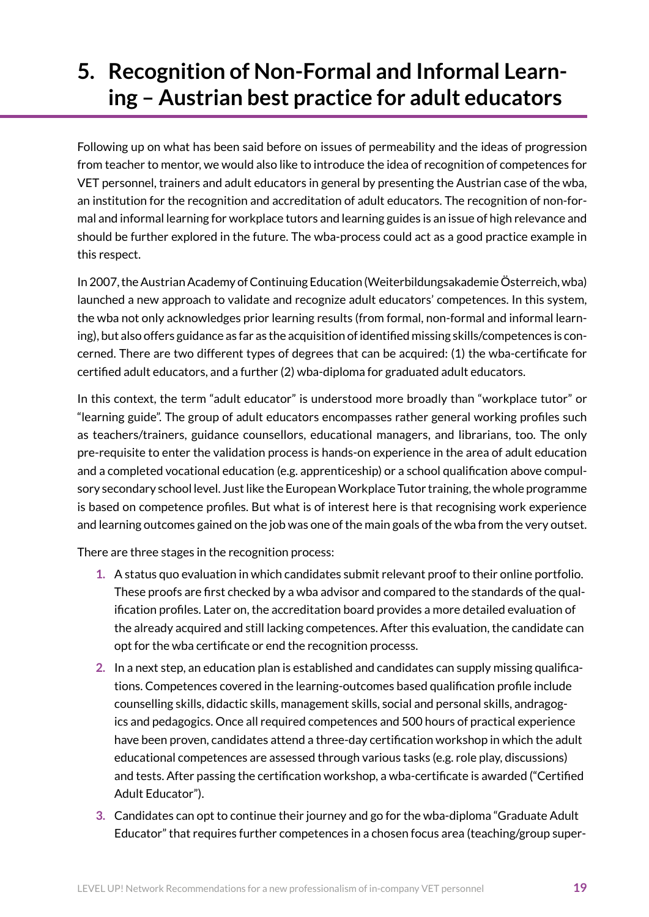# <span id="page-18-0"></span>**5. Recognition of Non-Formal and Informal Learning – Austrian best practice for adult educators**

Following up on what has been said before on issues of permeability and the ideas of progression from teacher to mentor, we would also like to introduce the idea of recognition of competences for VET personnel, trainers and adult educators in general by presenting the Austrian case of the wba, an institution for the recognition and accreditation of adult educators. The recognition of non-formal and informal learning for workplace tutors and learning guides is an issue of high relevance and should be further explored in the future. The wba-process could act as a good practice example in this respect.

In 2007, the Austrian Academy of Continuing Education (Weiterbildungsakademie Österreich, wba) launched a new approach to validate and recognize adult educators' competences. In this system, the wba not only acknowledges prior learning results (from formal, non-formal and informal learning), but also offers guidance as far as the acquisition of identified missing skills/competences is concerned. There are two different types of degrees that can be acquired: (1) the wba-certificate for certified adult educators, and a further (2) wba-diploma for graduated adult educators.

In this context, the term "adult educator" is understood more broadly than "workplace tutor" or "learning guide". The group of adult educators encompasses rather general working profiles such as teachers/trainers, guidance counsellors, educational managers, and librarians, too. The only pre-requisite to enter the validation process is hands-on experience in the area of adult education and a completed vocational education (e.g. apprenticeship) or a school qualification above compulsory secondary school level. Just like the European Workplace Tutor training, the whole programme is based on competence profiles. But what is of interest here is that recognising work experience and learning outcomes gained on the job was one of the main goals of the wba from the very outset.

There are three stages in the recognition process:

- **1.** A status quo evaluation in which candidates submit relevant proof to their online portfolio. These proofs are first checked by a wba advisor and compared to the standards of the qualification profiles. Later on, the accreditation board provides a more detailed evaluation of the already acquired and still lacking competences. After this evaluation, the candidate can opt for the wba certificate or end the recognition processs.
- **2.** In a next step, an education plan is established and candidates can supply missing qualifications. Competences covered in the learning-outcomes based qualification profile include counselling skills, didactic skills, management skills, social and personal skills, andragogics and pedagogics. Once all required competences and 500 hours of practical experience have been proven, candidates attend a three-day certification workshop in which the adult educational competences are assessed through various tasks (e.g. role play, discussions) and tests. After passing the certification workshop, a wba-certificate is awarded ("Certified Adult Educator").
- **3.** Candidates can opt to continue their journey and go for the wba-diploma "Graduate Adult Educator" that requires further competences in a chosen focus area (teaching/group super-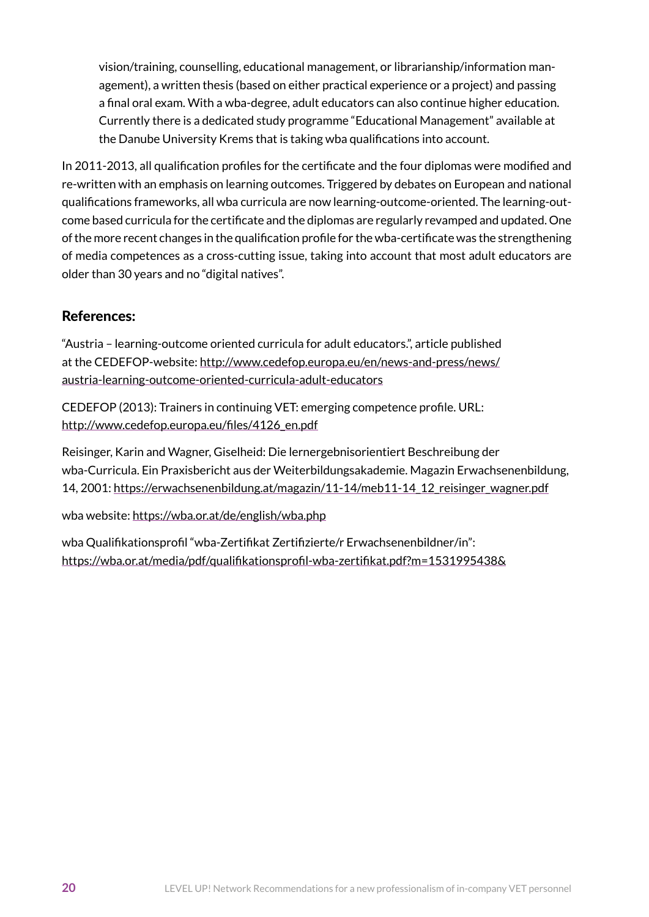vision/training, counselling, educational management, or librarianship/information management), a written thesis (based on either practical experience or a project) and passing a final oral exam. With a wba-degree, adult educators can also continue higher education. Currently there is a dedicated study programme "Educational Management" available at the Danube University Krems that is taking wba qualifications into account.

In 2011-2013, all qualification profiles for the certificate and the four diplomas were modified and re-written with an emphasis on learning outcomes. Triggered by debates on European and national qualifications frameworks, all wba curricula are now learning-outcome-oriented. The learning-outcome based curricula for the certificate and the diplomas are regularly revamped and updated. One of the more recent changes in the qualification profile for the wba-certificate was the strengthening of media competences as a cross-cutting issue, taking into account that most adult educators are older than 30 years and no "digital natives".

## References:

"Austria – learning-outcome oriented curricula for adult educators.", article published at the CEDEFOP-website: [http://www.cedefop.europa.eu/en/news-and-press/news/](http://www.cedefop.europa.eu/en/news-and-press/news/austria-learning-outcome-oriented-curricula-adult-educators) [austria-learning-outcome-oriented-curricula-adult-educators](http://www.cedefop.europa.eu/en/news-and-press/news/austria-learning-outcome-oriented-curricula-adult-educators)

CEDEFOP (2013): Trainers in continuing VET: emerging competence profile. URL: [http://www.cedefop.europa.eu/files/4126\\_en.pdf](http://www.cedefop.europa.eu/files/4126_en.pdf)

Reisinger, Karin and Wagner, Giselheid: Die lernergebnisorientiert Beschreibung der wba-Curricula. Ein Praxisbericht aus der Weiterbildungsakademie. Magazin Erwachsenenbildung, 14, 2001: [https://erwachsenenbildung.at/magazin/11-14/meb11-14\\_12\\_reisinger\\_wagner.pdf](https://erwachsenenbildung.at/magazin/11-14/meb11-14_12_reisinger_wagner.pdf)

wba website: <https://wba.or.at/de/english/wba.php>

wba Qualifikationsprofil "wba-Zertifikat Zertifizierte/r Erwachsenenbildner/in": <https://wba.or.at/media/pdf/qualifikationsprofil-wba-zertifikat.pdf?m=1531995438&>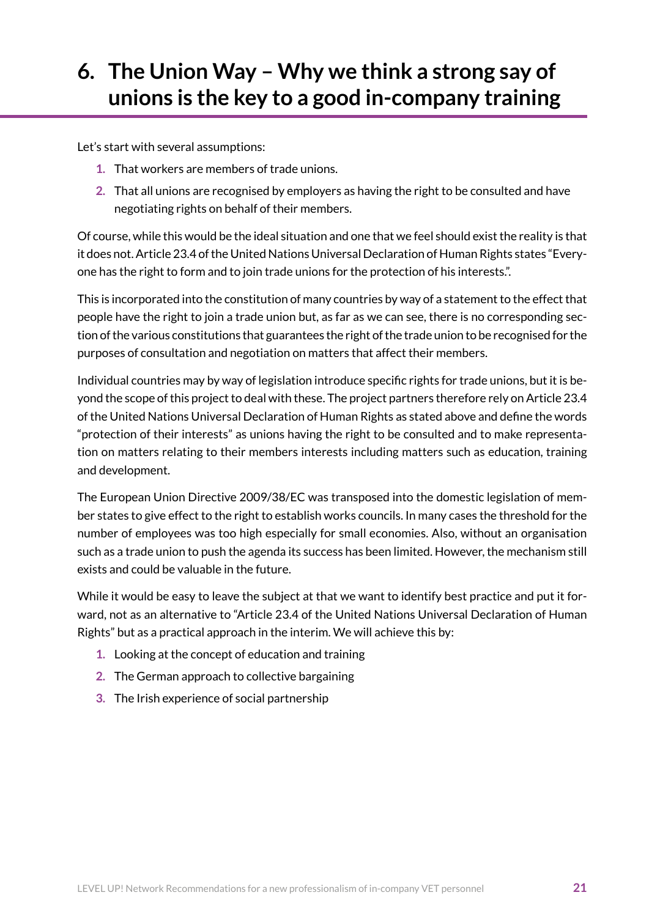# <span id="page-20-0"></span>**6. The Union Way – Why we think a strong say of unions is the key to a good in-company training**

Let's start with several assumptions:

- **1.** That workers are members of trade unions.
- **2.** That all unions are recognised by employers as having the right to be consulted and have negotiating rights on behalf of their members.

Of course, while this would be the ideal situation and one that we feel should exist the reality is that it does not. Article 23.4 of the United Nations Universal Declaration of Human Rights states "Everyone has the right to form and to join trade unions for the protection of his interests.".

This is incorporated into the constitution of many countries by way of a statement to the effect that people have the right to join a trade union but, as far as we can see, there is no corresponding section of the various constitutions that guarantees the right of the trade union to be recognised for the purposes of consultation and negotiation on matters that affect their members.

Individual countries may by way of legislation introduce specific rights for trade unions, but it is beyond the scope of this project to deal with these. The project partners therefore rely on Article 23.4 of the United Nations Universal Declaration of Human Rights as stated above and define the words "protection of their interests" as unions having the right to be consulted and to make representation on matters relating to their members interests including matters such as education, training and development.

The European Union Directive 2009/38/EC was transposed into the domestic legislation of member states to give effect to the right to establish works councils. In many cases the threshold for the number of employees was too high especially for small economies. Also, without an organisation such as a trade union to push the agenda its success has been limited. However, the mechanism still exists and could be valuable in the future.

While it would be easy to leave the subject at that we want to identify best practice and put it forward, not as an alternative to "Article 23.4 of the United Nations Universal Declaration of Human Rights" but as a practical approach in the interim. We will achieve this by:

- **1.** Looking at the concept of education and training
- **2.** The German approach to collective bargaining
- **3.** The Irish experience of social partnership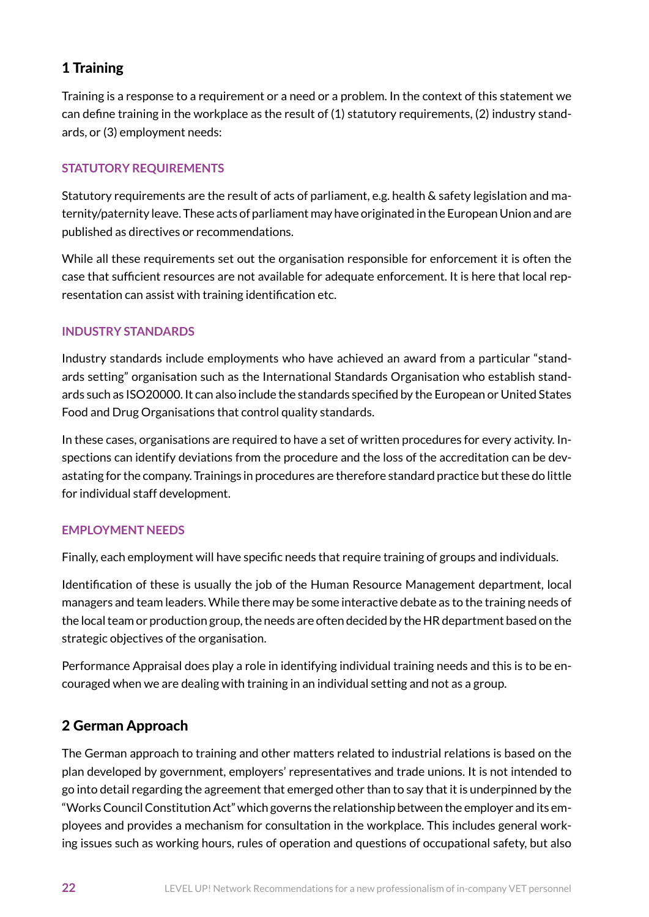## 1 Training

Training is a response to a requirement or a need or a problem. In the context of this statement we can define training in the workplace as the result of (1) statutory requirements, (2) industry standards, or (3) employment needs:

### **STATUTORY REQUIREMENTS**

Statutory requirements are the result of acts of parliament, e.g. health & safety legislation and maternity/paternity leave. These acts of parliament may have originated in the European Union and are published as directives or recommendations.

While all these requirements set out the organisation responsible for enforcement it is often the case that sufficient resources are not available for adequate enforcement. It is here that local representation can assist with training identification etc.

#### **INDUSTRY STANDARDS**

Industry standards include employments who have achieved an award from a particular "standards setting" organisation such as the International Standards Organisation who establish standards such as ISO20000. It can also include the standards specified by the European or United States Food and Drug Organisations that control quality standards.

In these cases, organisations are required to have a set of written procedures for every activity. Inspections can identify deviations from the procedure and the loss of the accreditation can be devastating for the company. Trainings in procedures are therefore standard practice but these do little for individual staff development.

#### **EMPLOYMENT NEEDS**

Finally, each employment will have specific needs that require training of groups and individuals.

Identification of these is usually the job of the Human Resource Management department, local managers and team leaders. While there may be some interactive debate as to the training needs of the local team or production group, the needs are often decided by the HR department based on the strategic objectives of the organisation.

Performance Appraisal does play a role in identifying individual training needs and this is to be encouraged when we are dealing with training in an individual setting and not as a group.

## 2 German Approach

The German approach to training and other matters related to industrial relations is based on the plan developed by government, employers' representatives and trade unions. It is not intended to go into detail regarding the agreement that emerged other than to say that it is underpinned by the "Works Council Constitution Act" which governs the relationship between the employer and its employees and provides a mechanism for consultation in the workplace. This includes general working issues such as working hours, rules of operation and questions of occupational safety, but also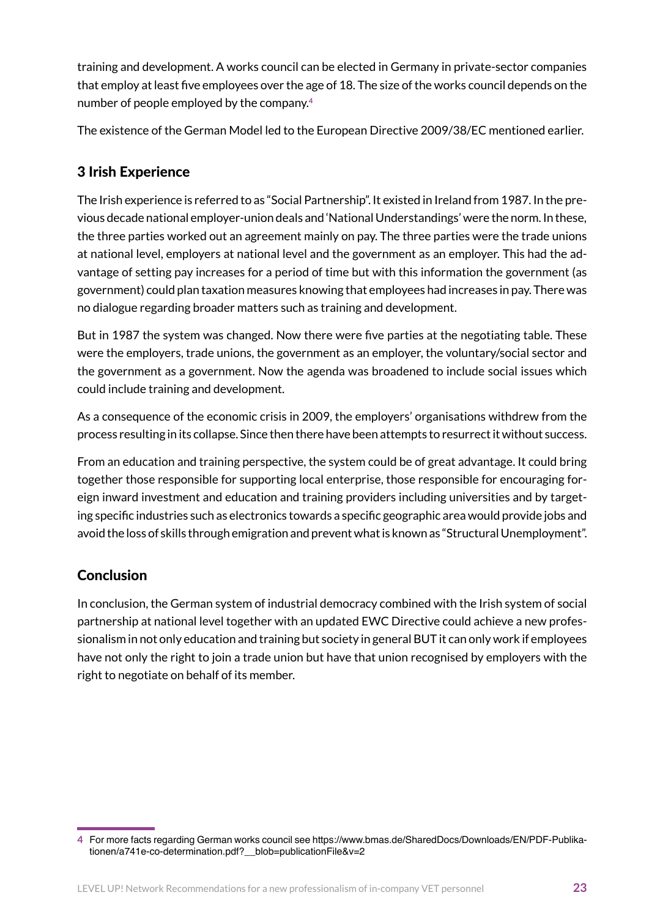training and development. A works council can be elected in Germany in private-sector companies that employ at least five employees over the age of 18. The size of the works council depends on the number of people employed by the company.**<sup>4</sup>**

The existence of the German Model led to the European Directive 2009/38/EC mentioned earlier.

## 3 Irish Experience

The Irish experience is referred to as "Social Partnership". It existed in Ireland from 1987. In the previous decade national employer-union deals and 'National Understandings' were the norm. In these, the three parties worked out an agreement mainly on pay. The three parties were the trade unions at national level, employers at national level and the government as an employer. This had the advantage of setting pay increases for a period of time but with this information the government (as government) could plan taxation measures knowing that employees had increases in pay. There was no dialogue regarding broader matters such as training and development.

But in 1987 the system was changed. Now there were five parties at the negotiating table. These were the employers, trade unions, the government as an employer, the voluntary/social sector and the government as a government. Now the agenda was broadened to include social issues which could include training and development.

As a consequence of the economic crisis in 2009, the employers' organisations withdrew from the process resulting in its collapse. Since then there have been attempts to resurrect it without success.

From an education and training perspective, the system could be of great advantage. It could bring together those responsible for supporting local enterprise, those responsible for encouraging foreign inward investment and education and training providers including universities and by targeting specific industries such as electronics towards a specific geographic area would provide jobs and avoid the loss of skills through emigration and prevent what is known as "Structural Unemployment".

## **Conclusion**

In conclusion, the German system of industrial democracy combined with the Irish system of social partnership at national level together with an updated EWC Directive could achieve a new professionalism in not only education and training but society in general BUT it can only work if employees have not only the right to join a trade union but have that union recognised by employers with the right to negotiate on behalf of its member.

**<sup>4</sup>** For more facts regarding German works council see https://www.bmas.de/SharedDocs/Downloads/EN/PDF-Publikationen/a741e-co-determination.pdf?\_\_blob=publicationFile&v=2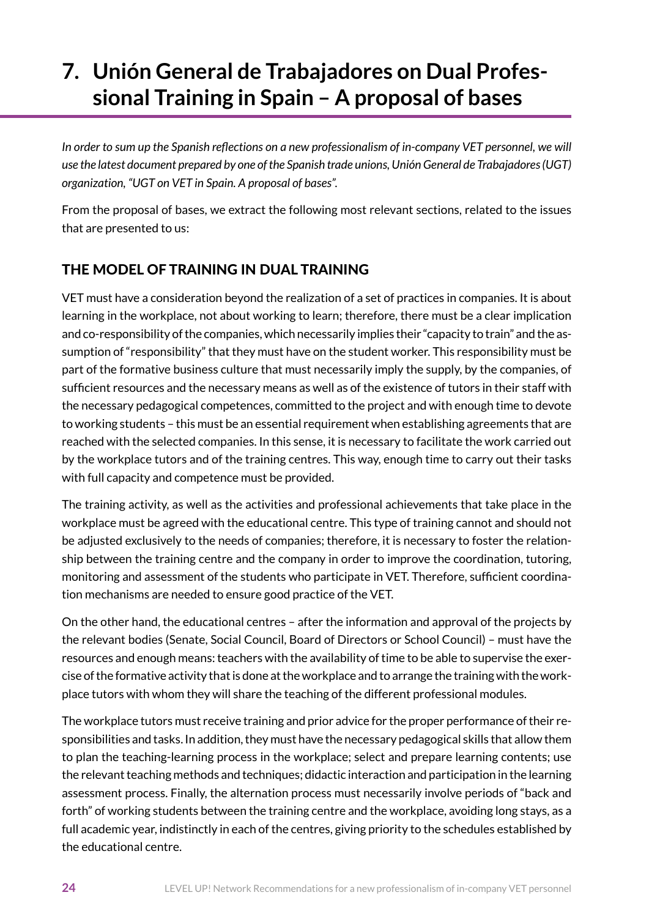# <span id="page-23-0"></span>**7. Unión General de [Trabajadores](http://www.ugt.es/Publicaciones/FolletoAnteLaFormaci%C3%B3nDual_UGT.pdf) on Dual Professional Training in Spain – A [proposal](http://www.ugt.es/Publicaciones/FolletoAnteLaFormaci%C3%B3nDual_UGT.pdf) of bases**

*In order to sum up the Spanish reflections on a new professionalism of in-company VET personnel, we will use the latest document prepared by one of the Spanish trade unions, Unión General de Trabajadores (UGT) organization, "UGT on VET in Spain. A proposal of bases".*

From the proposal of bases, we extract the following most relevant sections, related to the issues that are presented to us:

# THE MODEL OF TRAINING IN DUAL TRAINING

VET must have a consideration beyond the realization of a set of practices in companies. It is about learning in the workplace, not about working to learn; therefore, there must be a clear implication and co-responsibility of the companies, which necessarily implies their "capacity to train" and the assumption of "responsibility" that they must have on the student worker. This responsibility must be part of the formative business culture that must necessarily imply the supply, by the companies, of sufficient resources and the necessary means as well as of the existence of tutors in their staff with the necessary pedagogical competences, committed to the project and with enough time to devote to working students – this must be an essential requirement when establishing agreements that are reached with the selected companies. In this sense, it is necessary to facilitate the work carried out by the workplace tutors and of the training centres. This way, enough time to carry out their tasks with full capacity and competence must be provided.

The training activity, as well as the activities and professional achievements that take place in the workplace must be agreed with the educational centre. This type of training cannot and should not be adjusted exclusively to the needs of companies; therefore, it is necessary to foster the relationship between the training centre and the company in order to improve the coordination, tutoring, monitoring and assessment of the students who participate in VET. Therefore, sufficient coordination mechanisms are needed to ensure good practice of the VET.

On the other hand, the educational centres – after the information and approval of the projects by the relevant bodies (Senate, Social Council, Board of Directors or School Council) – must have the resources and enough means: teachers with the availability of time to be able to supervise the exercise of the formative activity that is done at the workplace and to arrange the training with the workplace tutors with whom they will share the teaching of the different professional modules.

The workplace tutors must receive training and prior advice for the proper performance of their responsibilities and tasks. In addition, they must have the necessary pedagogical skills that allow them to plan the teaching-learning process in the workplace; select and prepare learning contents; use the relevant teaching methods and techniques; didactic interaction and participation in the learning assessment process. Finally, the alternation process must necessarily involve periods of "back and forth" of working students between the training centre and the workplace, avoiding long stays, as a full academic year, indistinctly in each of the centres, giving priority to the schedules established by the educational centre.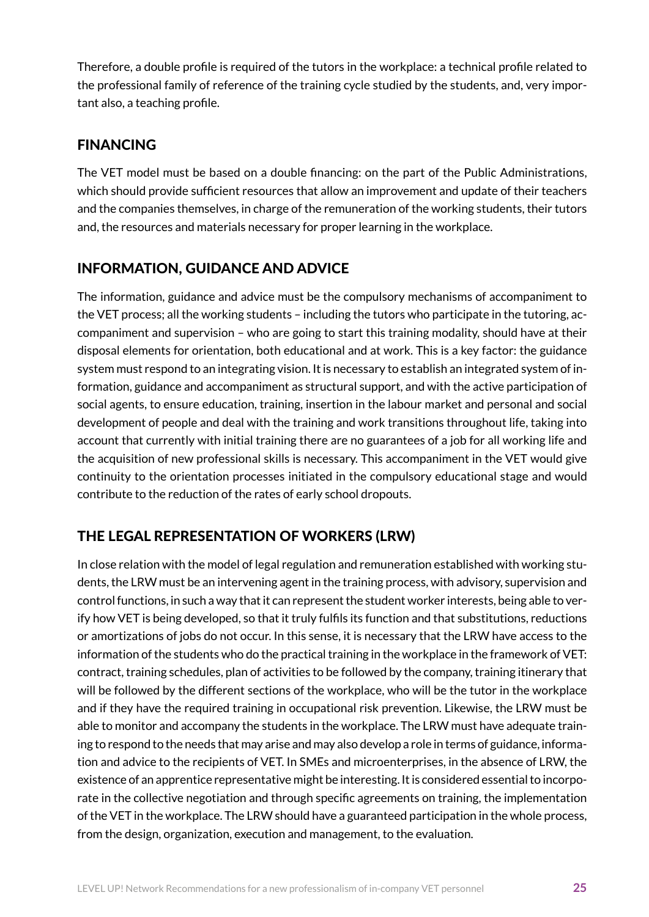Therefore, a double profile is required of the tutors in the workplace: a technical profile related to the professional family of reference of the training cycle studied by the students, and, very important also, a teaching profile.

## FINANCING

The VET model must be based on a double financing: on the part of the Public Administrations, which should provide sufficient resources that allow an improvement and update of their teachers and the companies themselves, in charge of the remuneration of the working students, their tutors and, the resources and materials necessary for proper learning in the workplace.

## INFORMATION, GUIDANCE AND ADVICE

The information, guidance and advice must be the compulsory mechanisms of accompaniment to the VET process; all the working students – including the tutors who participate in the tutoring, accompaniment and supervision – who are going to start this training modality, should have at their disposal elements for orientation, both educational and at work. This is a key factor: the guidance system must respond to an integrating vision. It is necessary to establish an integrated system of information, guidance and accompaniment as structural support, and with the active participation of social agents, to ensure education, training, insertion in the labour market and personal and social development of people and deal with the training and work transitions throughout life, taking into account that currently with initial training there are no guarantees of a job for all working life and the acquisition of new professional skills is necessary. This accompaniment in the VET would give continuity to the orientation processes initiated in the compulsory educational stage and would contribute to the reduction of the rates of early school dropouts.

# THE LEGAL REPRESENTATION OF WORKERS (LRW)

In close relation with the model of legal regulation and remuneration established with working students, the LRW must be an intervening agent in the training process, with advisory, supervision and control functions, in such a way that it can represent the student worker interests, being able to verify how VET is being developed, so that it truly fulfils its function and that substitutions, reductions or amortizations of jobs do not occur. In this sense, it is necessary that the LRW have access to the information of the students who do the practical training in the workplace in the framework of VET: contract, training schedules, plan of activities to be followed by the company, training itinerary that will be followed by the different sections of the workplace, who will be the tutor in the workplace and if they have the required training in occupational risk prevention. Likewise, the LRW must be able to monitor and accompany the students in the workplace. The LRW must have adequate training to respond to the needs that may arise and may also develop a role in terms of guidance, information and advice to the recipients of VET. In SMEs and microenterprises, in the absence of LRW, the existence of an apprentice representative might be interesting. It is considered essential to incorporate in the collective negotiation and through specific agreements on training, the implementation of the VET in the workplace. The LRW should have a guaranteed participation in the whole process, from the design, organization, execution and management, to the evaluation.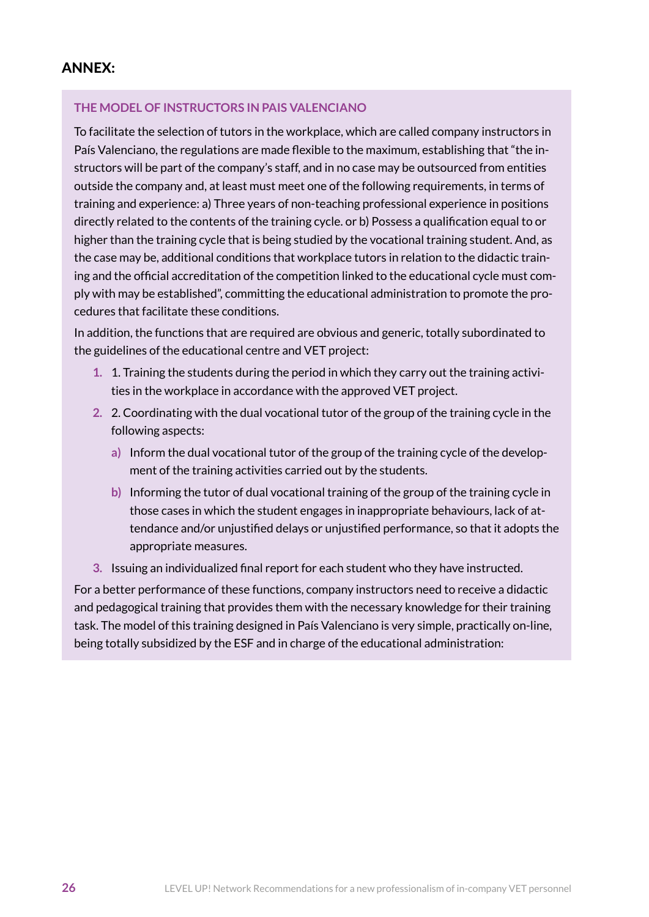### ANNEX:

#### **THE MODEL OF INSTRUCTORS IN PAIS VALENCIANO**

To facilitate the selection of tutors in the workplace, which are called company instructors in País Valenciano, the regulations are made flexible to the maximum, establishing that "the instructors will be part of the company's staff, and in no case may be outsourced from entities outside the company and, at least must meet one of the following requirements, in terms of training and experience: a) Three years of non-teaching professional experience in positions directly related to the contents of the training cycle. or b) Possess a qualification equal to or higher than the training cycle that is being studied by the vocational training student. And, as the case may be, additional conditions that workplace tutors in relation to the didactic training and the official accreditation of the competition linked to the educational cycle must comply with may be established", committing the educational administration to promote the procedures that facilitate these conditions.

In addition, the functions that are required are obvious and generic, totally subordinated to the guidelines of the educational centre and VET project:

- **1.** 1. Training the students during the period in which they carry out the training activities in the workplace in accordance with the approved VET project.
- **2.** 2. Coordinating with the dual vocational tutor of the group of the training cycle in the following aspects:
	- **a)** Inform the dual vocational tutor of the group of the training cycle of the development of the training activities carried out by the students.
	- **b)** Informing the tutor of dual vocational training of the group of the training cycle in those cases in which the student engages in inappropriate behaviours, lack of attendance and/or unjustified delays or unjustified performance, so that it adopts the appropriate measures.
- **3.** Issuing an individualized final report for each student who they have instructed.

For a better performance of these functions, company instructors need to receive a didactic and pedagogical training that provides them with the necessary knowledge for their training task. The model of this training designed in País Valenciano is very simple, practically on-line, being totally subsidized by the ESF and in charge of the educational administration: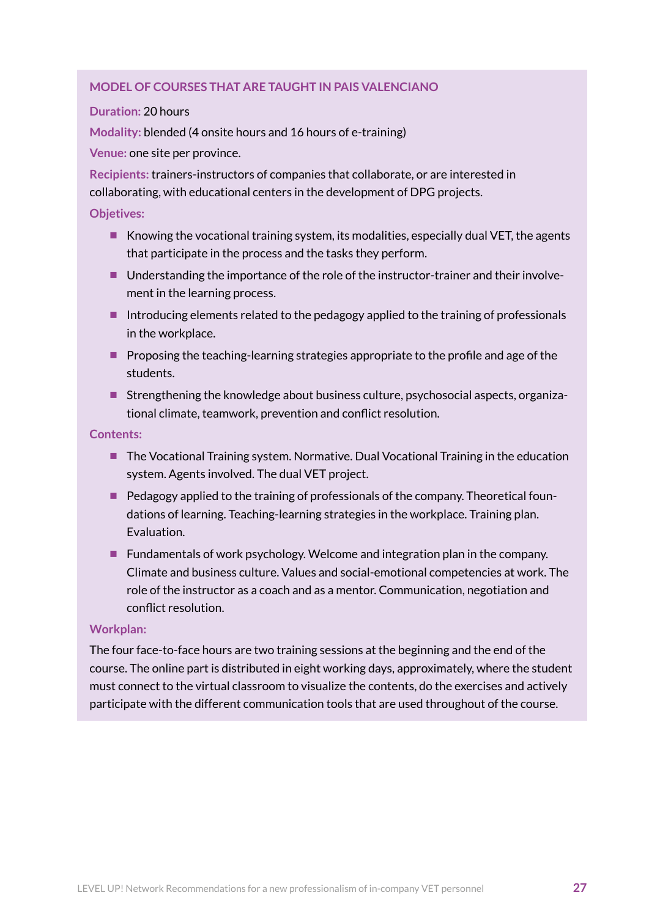#### **MODEL OF COURSES THAT ARE TAUGHT IN PAIS [VALENCIANO](http://www.institut.es/Paginas/fp_dual-I62.html)**

#### **Duration:** 20 hours

**Modality:** blended (4 onsite hours and 16 hours of e-training)

**Venue:** one site per province.

**Recipients:** trainers-instructors of companies that collaborate, or are interested in collaborating, with educational centers in the development of DPG projects.

#### **Objetives:**

- $\blacksquare$  Knowing the vocational training system, its modalities, especially dual VET, the agents that participate in the process and the tasks they perform.
- Understanding the importance of the role of the instructor-trainer and their involvement in the learning process.
- Introducing elements related to the pedagogy applied to the training of professionals in the workplace.
- **Proposing the teaching-learning strategies appropriate to the profile and age of the** students.
- **Strengthening the knowledge about business culture, psychosocial aspects, organiza**tional climate, teamwork, prevention and conflict resolution.

**Contents:**

- The Vocational Training system. Normative. Dual Vocational Training in the education system. Agents involved. The dual VET project.
- $\blacksquare$  Pedagogy applied to the training of professionals of the company. Theoretical foundations of learning. Teaching-learning strategies in the workplace. Training plan. Evaluation.
- **Fundamentals of work psychology. Welcome and integration plan in the company.** Climate and business culture. Values and social-emotional competencies at work. The role of the instructor as a coach and as a mentor. Communication, negotiation and conflict resolution.

#### **Workplan:**

The four face-to-face hours are two training sessions at the beginning and the end of the course. The online part is distributed in eight working days, approximately, where the student must connect to the virtual classroom to visualize the contents, do the exercises and actively participate with the different communication tools that are used throughout of the course.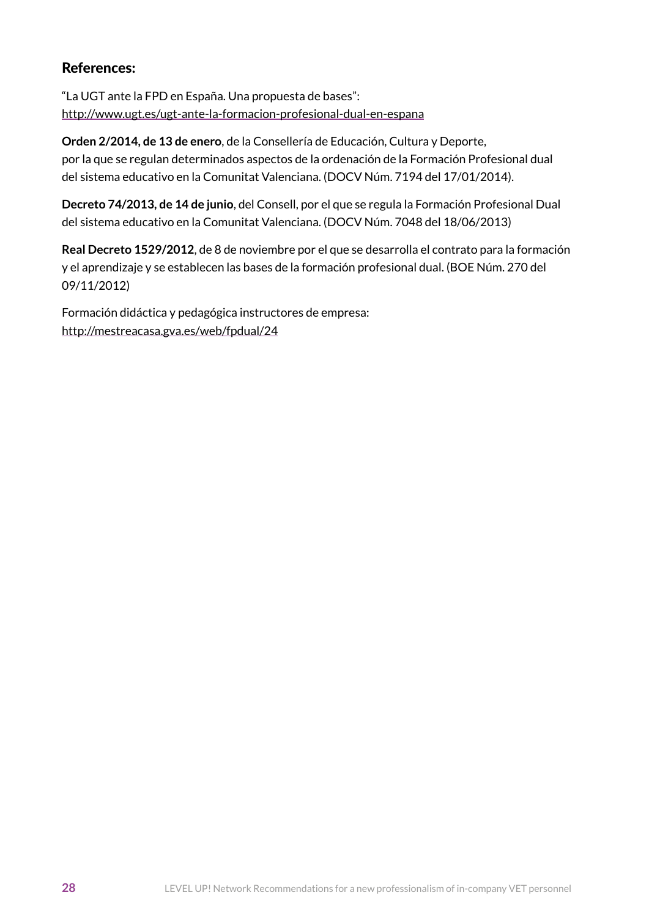### References:

"La UGT ante la FPD en España. Una propuesta de bases": <http://www.ugt.es/ugt-ante-la-formacion-profesional-dual-en-espana>

**[Orden 2/2014, de 13 de enero](http://www.docv.gva.es/datos/2014/01/17/pdf/2014_331.pdf)**, de la Consellería de Educación, Cultura y Deporte, por la que se regulan determinados aspectos de la ordenación de la Formación Profesional dual del sistema educativo en la Comunitat Valenciana. (DOCV Núm. 7194 del 17/01/2014).

**[Decreto 74/2013, de 14 de junio](http://www.docv.gva.es/datos/2013/06/18/pdf/2013_6399.pdf)**, del Consell, por el que se regula la Formación Profesional Dual del sistema educativo en la Comunitat Valenciana. (DOCV Núm. 7048 del 18/06/2013)

**[Real Decreto 1529/2012](http://www.boe.es/boe/dias/2012/11/09/pdfs/BOE-A-2012-13846.pdf)**, de 8 de noviembre por el que se desarrolla el contrato para la formación y el aprendizaje y se establecen las bases de la formación profesional dual. (BOE Núm. 270 del 09/11/2012)

Formación didáctica y pedagógica instructores de empresa: http://mestreacasa.gva.es/web/fpdual/24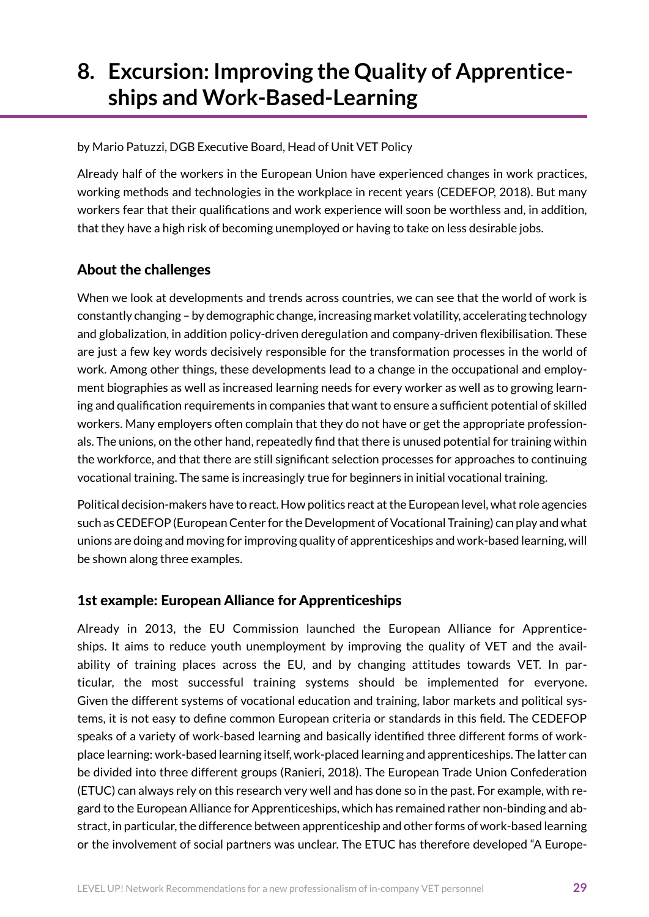# <span id="page-28-0"></span>**8. Excursion: Improving the Quality of Apprenticeships and Work-Based-Learning**

by Mario Patuzzi, DGB Executive Board, Head of Unit VET Policy

Already half of the workers in the European Union have experienced changes in work practices, working methods and technologies in the workplace in recent years (CEDEFOP, 2018). But many workers fear that their qualifications and work experience will soon be worthless and, in addition, that they have a high risk of becoming unemployed or having to take on less desirable jobs.

## About the challenges

When we look at developments and trends across countries, we can see that the world of work is constantly changing – by demographic change, increasing market volatility, accelerating technology and globalization, in addition policy-driven deregulation and company-driven flexibilisation. These are just a few key words decisively responsible for the transformation processes in the world of work. Among other things, these developments lead to a change in the occupational and employment biographies as well as increased learning needs for every worker as well as to growing learning and qualification requirements in companies that want to ensure a sufficient potential of skilled workers. Many employers often complain that they do not have or get the appropriate professionals. The unions, on the other hand, repeatedly find that there is unused potential for training within the workforce, and that there are still significant selection processes for approaches to continuing vocational training. The same is increasingly true for beginners in initial vocational training.

Political decision-makers have to react. How politics react at the European level, what role agencies such as CEDEFOP (European Center for the Development of Vocational Training) can play and what unions are doing and moving for improving quality of apprenticeships and work-based learning, will be shown along three examples.

## 1st example: European Alliance for Apprenticeships

Already in 2013, the EU Commission launched the European Alliance for Apprenticeships. It aims to reduce youth unemployment by improving the quality of VET and the availability of training places across the EU, and by changing attitudes towards VET. In particular, the most successful training systems should be implemented for everyone. Given the different systems of vocational education and training, labor markets and political systems, it is not easy to define common European criteria or standards in this field. The CEDEFOP speaks of a variety of work-based learning and basically identified three different forms of workplace learning: work-based learning itself, work-placed learning and apprenticeships. The latter can be divided into three different groups (Ranieri, 2018). The European Trade Union Confederation (ETUC) can always rely on this research very well and has done so in the past. For example, with regard to the European Alliance for Apprenticeships, which has remained rather non-binding and abstract, in particular, the difference between apprenticeship and other forms of work-based learning or the involvement of social partners was unclear. The ETUC has therefore developed "A Europe-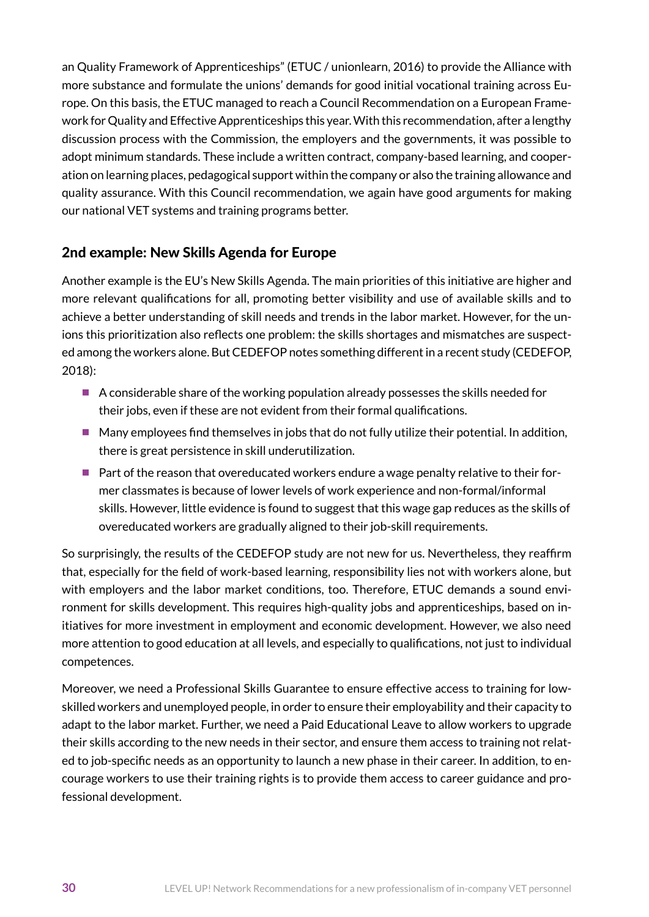an Quality Framework of Apprenticeships" (ETUC / unionlearn, 2016) to provide the Alliance with more substance and formulate the unions' demands for good initial vocational training across Europe. On this basis, the ETUC managed to reach a Council Recommendation on a European Framework for Quality and Effective Apprenticeships this year. With this recommendation, after a lengthy discussion process with the Commission, the employers and the governments, it was possible to adopt minimum standards. These include a written contract, company-based learning, and cooperation on learning places, pedagogical support within the company or also the training allowance and quality assurance. With this Council recommendation, we again have good arguments for making our national VET systems and training programs better.

## 2nd example: New Skills Agenda for Europe

Another example is the EU's New Skills Agenda. The main priorities of this initiative are higher and more relevant qualifications for all, promoting better visibility and use of available skills and to achieve a better understanding of skill needs and trends in the labor market. However, for the unions this prioritization also reflects one problem: the skills shortages and mismatches are suspected among the workers alone. But CEDEFOP notes something different in a recent study (CEDEFOP, 2018):

- A considerable share of the working population already possesses the skills needed for their jobs, even if these are not evident from their formal qualifications.
- $\blacksquare$  Many employees find themselves in jobs that do not fully utilize their potential. In addition, there is great persistence in skill underutilization.
- **Part of the reason that overeducated workers endure a wage penalty relative to their for**mer classmates is because of lower levels of work experience and non-formal/informal skills. However, little evidence is found to suggest that this wage gap reduces as the skills of overeducated workers are gradually aligned to their job-skill requirements.

So surprisingly, the results of the CEDEFOP study are not new for us. Nevertheless, they reaffirm that, especially for the field of work-based learning, responsibility lies not with workers alone, but with employers and the labor market conditions, too. Therefore, ETUC demands a sound environment for skills development. This requires high-quality jobs and apprenticeships, based on initiatives for more investment in employment and economic development. However, we also need more attention to good education at all levels, and especially to qualifications, not just to individual competences.

Moreover, we need a Professional Skills Guarantee to ensure effective access to training for lowskilled workers and unemployed people, in order to ensure their employability and their capacity to adapt to the labor market. Further, we need a Paid Educational Leave to allow workers to upgrade their skills according to the new needs in their sector, and ensure them access to training not related to job-specific needs as an opportunity to launch a new phase in their career. In addition, to encourage workers to use their training rights is to provide them access to career guidance and professional development.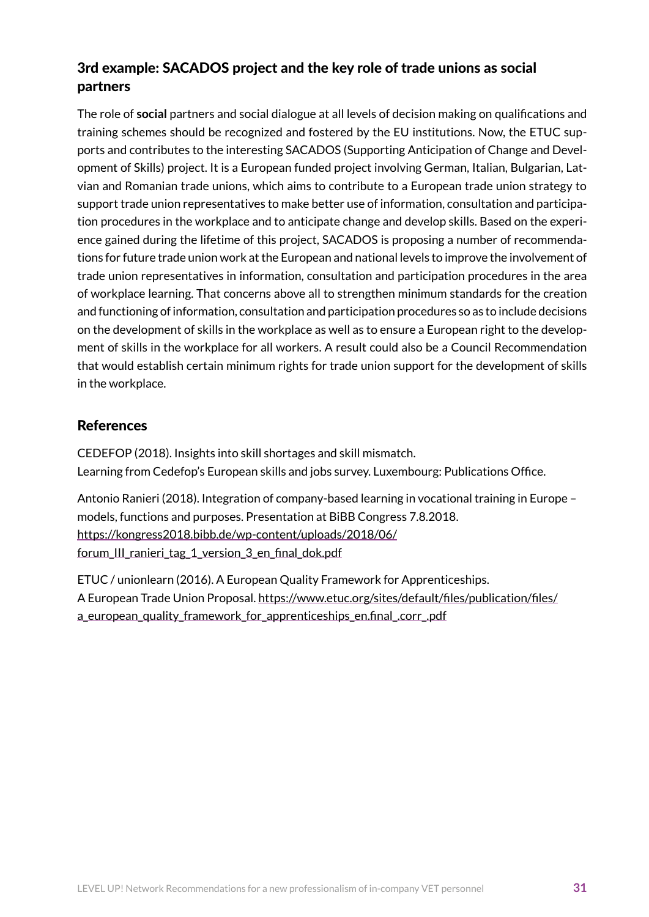## 3rd example: SACADOS project and the key role of trade unions as social partners

The role of **social** partners and social dialogue at all levels of decision making on qualifications and training schemes should be recognized and fostered by the EU institutions. Now, the ETUC supports and contributes to the interesting SACADOS (Supporting Anticipation of Change and Development of Skills) project. It is a European funded project involving German, Italian, Bulgarian, Latvian and Romanian trade unions, which aims to contribute to a European trade union strategy to support trade union representatives to make better use of information, consultation and participation procedures in the workplace and to anticipate change and develop skills. Based on the experience gained during the lifetime of this project, SACADOS is proposing a number of recommendations for future trade union work at the European and national levels to improve the involvement of trade union representatives in information, consultation and participation procedures in the area of workplace learning. That concerns above all to strengthen minimum standards for the creation and functioning of information, consultation and participation procedures so as to include decisions on the development of skills in the workplace as well as to ensure a European right to the development of skills in the workplace for all workers. A result could also be a Council Recommendation that would establish certain minimum rights for trade union support for the development of skills in the workplace.

## References

CEDEFOP (2018). Insights into skill shortages and skill mismatch. Learning from Cedefop's European skills and jobs survey. Luxembourg: Publications Office.

Antonio Ranieri (2018). Integration of company-based learning in vocational training in Europe – models, functions and purposes. Presentation at BiBB Congress 7.8.2018. [https://kongress2018.bibb.de/wp-content/uploads/2018/06/](https://kongress2018.bibb.de/wp-content/uploads/2018/06/forum_III_ranieri_tag_1_version_3_en_final_dok.pdf) [forum\\_III\\_ranieri\\_tag\\_1\\_version\\_3\\_en\\_final\\_dok.pdf](https://kongress2018.bibb.de/wp-content/uploads/2018/06/forum_III_ranieri_tag_1_version_3_en_final_dok.pdf)

ETUC / unionlearn (2016). A European Quality Framework for Apprenticeships. A European Trade Union Proposal. [https://www.etuc.org/sites/default/files/publication/files/](https://www.etuc.org/sites/default/files/publication/files/a_european_quality_framework_for_apprenticeships_en.final_.corr_.pdf) a european quality framework for apprenticeships en.final .corr .pdf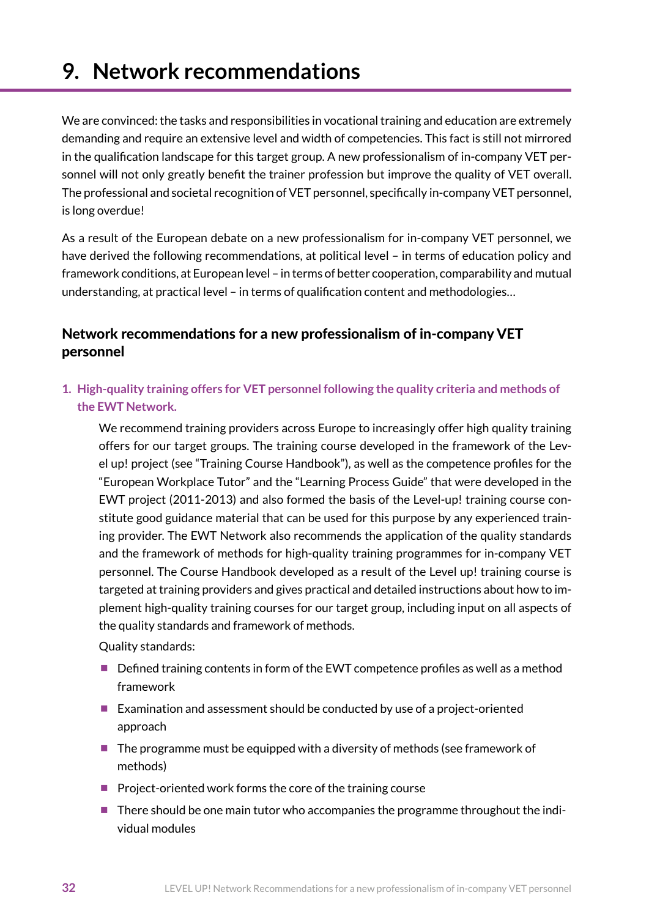# <span id="page-31-0"></span>**9. Network recommendations**

We are convinced: the tasks and responsibilities in vocational training and education are extremely demanding and require an extensive level and width of competencies. This fact is still not mirrored in the qualification landscape for this target group. A new professionalism of in-company VET personnel will not only greatly benefit the trainer profession but improve the quality of VET overall. The professional and societal recognition of VET personnel, specifically in-company VET personnel, is long overdue!

As a result of the European debate on a new professionalism for in-company VET personnel, we have derived the following recommendations, at political level – in terms of education policy and framework conditions, at European level – in terms of better cooperation, comparability and mutual understanding, at practical level – in terms of qualification content and methodologies…

## Network recommendations for a new professionalism of in-company VET personnel

**1. High-quality training offers for VET personnel following the quality criteria and methods of the EWT Network.**

We recommend training providers across Europe to increasingly offer high quality training offers for our target groups. The training course developed in the framework of the Level up! project (see "Training Course Handbook"), as well as the competence profiles for the "European Workplace Tutor" and the "Learning Process Guide" that were developed in the EWT project (2011-2013) and also formed the basis of the Level-up! training course constitute good guidance material that can be used for this purpose by any experienced training provider. The EWT Network also recommends the application of the quality standards and the framework of methods for high-quality training programmes for in-company VET personnel. The Course Handbook developed as a result of the Level up! training course is targeted at training providers and gives practical and detailed instructions about how to implement high-quality training courses for our target group, including input on all aspects of the quality standards and framework of methods.

Quality standards:

- Defined training contents in form of the EWT competence profiles as well as a method framework
- Examination and assessment should be conducted by use of a project-oriented approach
- The programme must be equipped with a diversity of methods (see framework of methods)
- $\blacksquare$  Project-oriented work forms the core of the training course
- **There should be one main tutor who accompanies the programme throughout the indi**vidual modules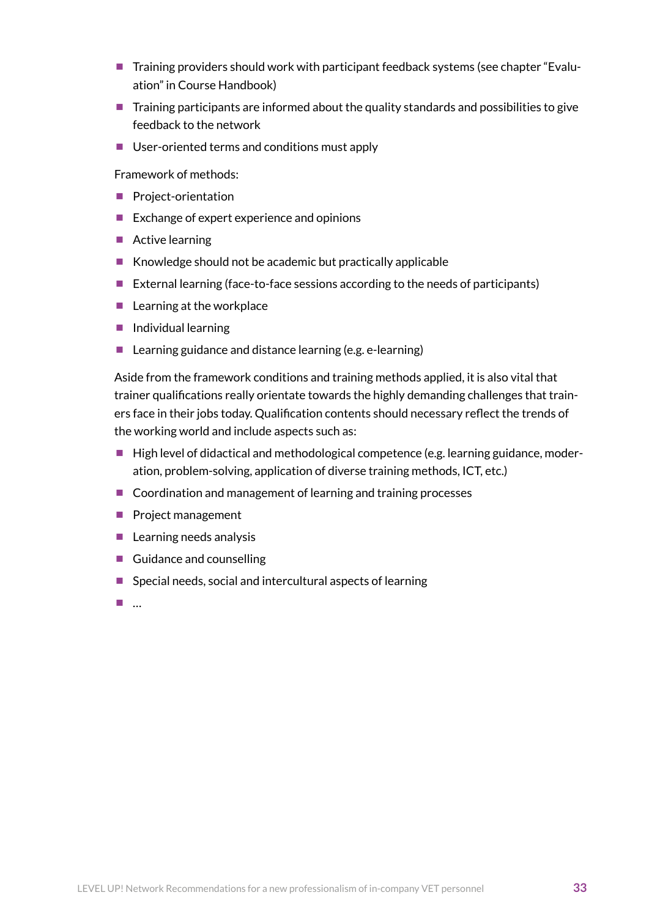- Training providers should work with participant feedback systems (see chapter "Evaluation" in Course Handbook)
- $\blacksquare$  Training participants are informed about the quality standards and possibilities to give feedback to the network
- User-oriented terms and conditions must apply

Framework of methods:

- **Project-orientation**
- $\blacksquare$  Exchange of expert experience and opinions
- Active learning
- Knowledge should not be academic but practically applicable
- External learning (face-to-face sessions according to the needs of participants)
- $\blacksquare$  Learning at the workplace
- $\blacksquare$  Individual learning
- Learning guidance and distance learning (e.g. e-learning)

Aside from the framework conditions and training methods applied, it is also vital that trainer qualifications really orientate towards the highly demanding challenges that trainers face in their jobs today. Qualification contents should necessary reflect the trends of the working world and include aspects such as:

- $\blacksquare$  High level of didactical and methodological competence (e.g. learning guidance, moderation, problem-solving, application of diverse training methods, ICT, etc.)
- Coordination and management of learning and training processes
- **Project management**
- $\blacksquare$  Learning needs analysis
- Guidance and counselling
- $\blacksquare$  Special needs, social and intercultural aspects of learning
- …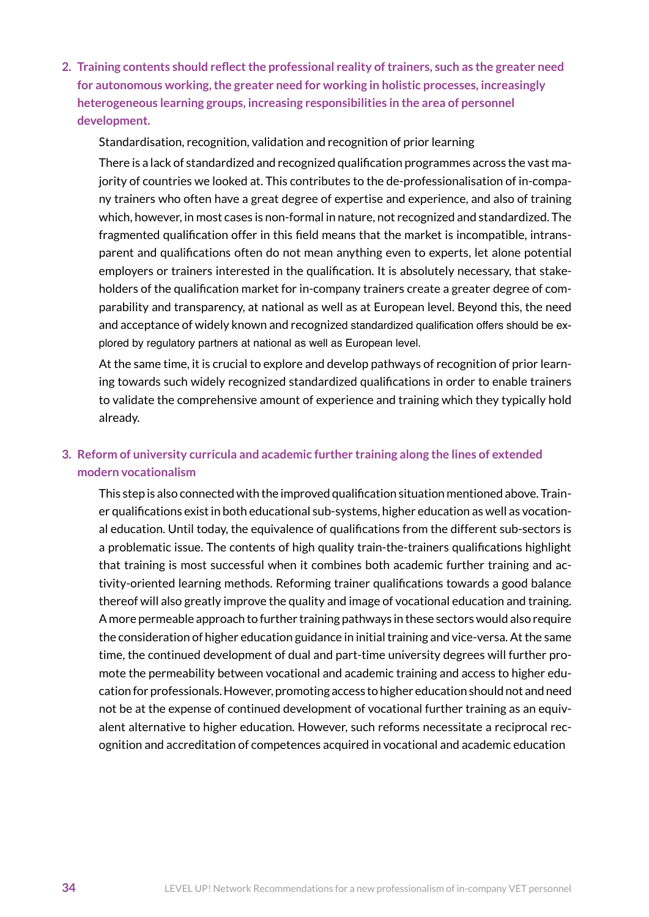**2. Training contents should reflectthe professional reality oftrainers, such as the greater need for autonomous working,the greater need for working in holistic processes, increasingly heterogeneous learning groups, increasing responsibilities in the area of personnel development.**

Standardisation, recognition, validation and recognition of prior learning

There is a lack of standardized and recognized qualification programmes across the vast majority of countries we looked at. This contributes to the de-professionalisation of in-company trainers who often have a great degree of expertise and experience, and also of training which, however, in most cases is non-formal in nature, not recognized and standardized. The fragmented qualification offer in this field means that the market is incompatible, intransparent and qualifications often do not mean anything even to experts, let alone potential employers or trainers interested in the qualification. It is absolutely necessary, that stakeholders of the qualification market for in-company trainers create a greater degree of comparability and transparency, at national as well as at European level. Beyond this, the need and acceptance of widely known and recognized standardized qualification offers should be explored by regulatory partners at national as well as European level.

At the same time, it is crucial to explore and develop pathways of recognition of prior learning towards such widely recognized standardized qualifications in order to enable trainers to validate the comprehensive amount of experience and training which they typically hold already.

### **3. Reform of university curricula and academic further training along the lines of extended modern vocationalism**

This step is also connected with the improved qualification situation mentioned above. Trainer qualifications exist in both educational sub-systems, higher education as well as vocational education. Until today, the equivalence of qualifications from the different sub-sectors is a problematic issue. The contents of high quality train-the-trainers qualifications highlight that training is most successful when it combines both academic further training and activity-oriented learning methods. Reforming trainer qualifications towards a good balance thereof will also greatly improve the quality and image of vocational education and training. A more permeable approach to further training pathways in these sectors would also require the consideration of higher education guidance in initial training and vice-versa. At the same time, the continued development of dual and part-time university degrees will further promote the permeability between vocational and academic training and access to higher education for professionals. However, promoting access to higher education should not and need not be at the expense of continued development of vocational further training as an equivalent alternative to higher education. However, such reforms necessitate a reciprocal recognition and accreditation of competences acquired in vocational and academic education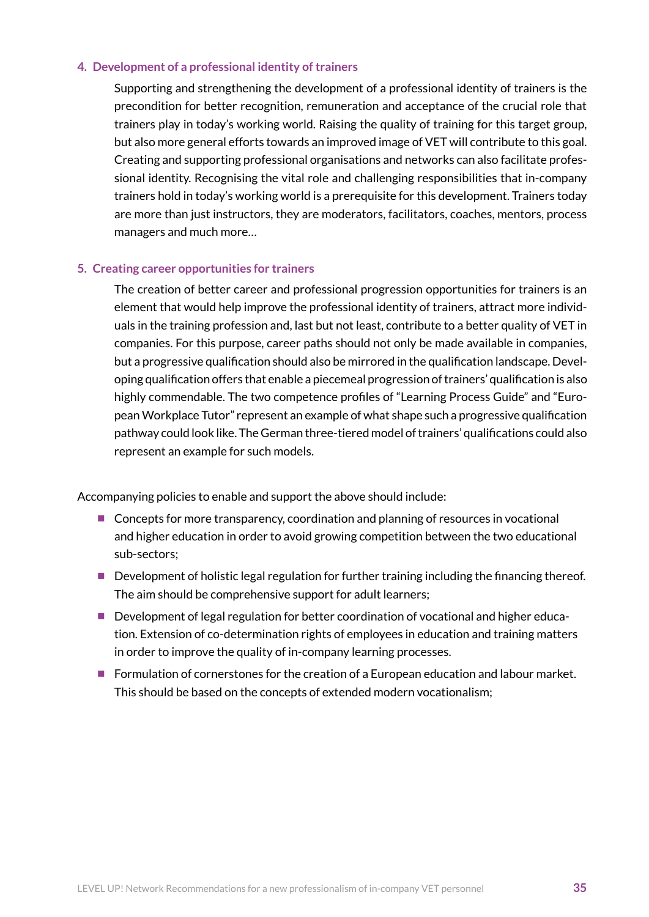#### **4. Development of a professional identity of trainers**

Supporting and strengthening the development of a professional identity of trainers is the precondition for better recognition, remuneration and acceptance of the crucial role that trainers play in today's working world. Raising the quality of training for this target group, but also more general efforts towards an improved image of VET will contribute to this goal. Creating and supporting professional organisations and networks can also facilitate professional identity. Recognising the vital role and challenging responsibilities that in-company trainers hold in today's working world is a prerequisite for this development. Trainers today are more than just instructors, they are moderators, facilitators, coaches, mentors, process managers and much more…

#### **5. Creating career opportunities for trainers**

The creation of better career and professional progression opportunities for trainers is an element that would help improve the professional identity of trainers, attract more individuals in the training profession and, last but not least, contribute to a better quality of VET in companies. For this purpose, career paths should not only be made available in companies, but a progressive qualification should also be mirrored in the qualification landscape. Developing qualification offers that enable a piecemeal progression of trainers' qualification is also highly commendable. The two competence profiles of "Learning Process Guide" and "European Workplace Tutor" represent an example of what shape such a progressive qualification pathway could look like. The German three-tiered model of trainers' qualifications could also represent an example for such models.

Accompanying policies to enable and support the above should include:

- Concepts for more transparency, coordination and planning of resources in vocational and higher education in order to avoid growing competition between the two educational sub-sectors;
- Development of holistic legal regulation for further training including the financing thereof. The aim should be comprehensive support for adult learners;
- Development of legal regulation for better coordination of vocational and higher education. Extension of co-determination rights of employees in education and training matters in order to improve the quality of in-company learning processes.
- Formulation of cornerstones for the creation of a European education and labour market. This should be based on the concepts of extended modern vocationalism;